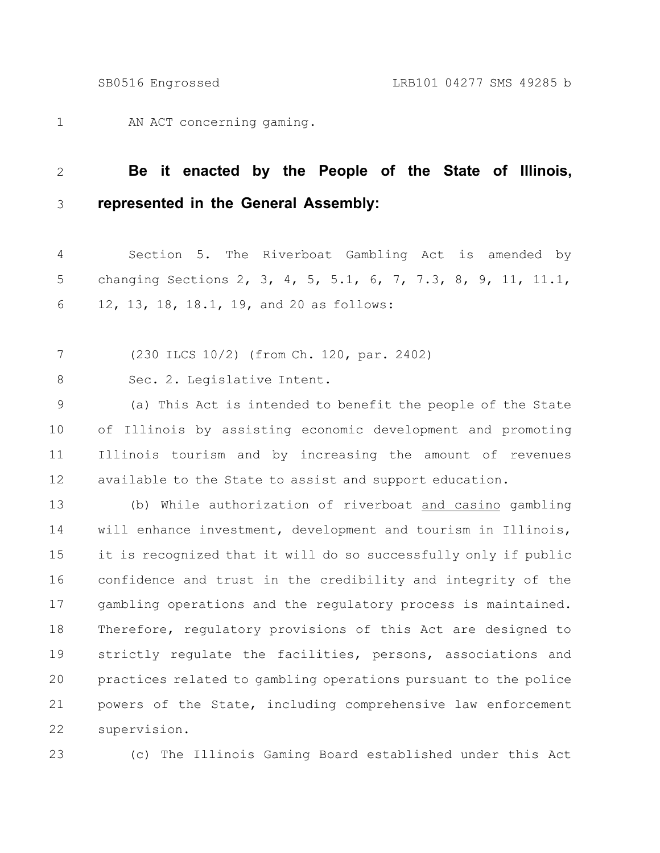AN ACT concerning gaming. 1

## **Be it enacted by the People of the State of Illinois, represented in the General Assembly:** 2 3

Section 5. The Riverboat Gambling Act is amended by changing Sections 2, 3, 4, 5, 5.1, 6, 7, 7.3, 8, 9, 11, 11.1, 12, 13, 18, 18.1, 19, and 20 as follows: 4 5 6

(230 ILCS 10/2) (from Ch. 120, par. 2402) 7

Sec. 2. Legislative Intent. 8

(a) This Act is intended to benefit the people of the State of Illinois by assisting economic development and promoting Illinois tourism and by increasing the amount of revenues available to the State to assist and support education. 9 10 11 12

(b) While authorization of riverboat and casino gambling will enhance investment, development and tourism in Illinois, it is recognized that it will do so successfully only if public confidence and trust in the credibility and integrity of the gambling operations and the regulatory process is maintained. Therefore, regulatory provisions of this Act are designed to strictly regulate the facilities, persons, associations and practices related to gambling operations pursuant to the police powers of the State, including comprehensive law enforcement supervision. 13 14 15 16 17 18 19 20 21 22

23

(c) The Illinois Gaming Board established under this Act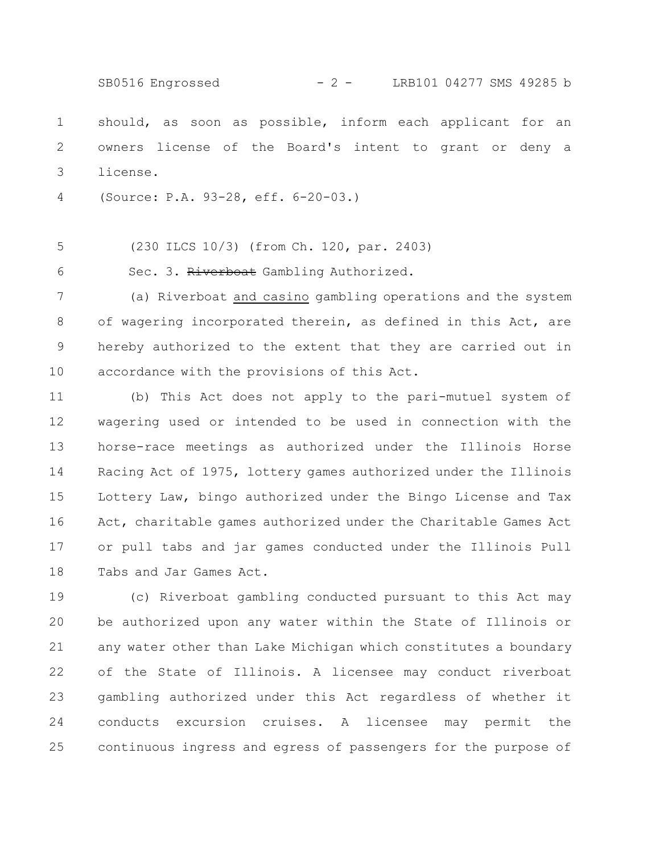should, as soon as possible, inform each applicant for an owners license of the Board's intent to grant or deny a license. 1 2 3 SB0516 Engrossed - 2 - LRB101 04277 SMS 49285 b

(Source: P.A. 93-28, eff. 6-20-03.) 4

(230 ILCS 10/3) (from Ch. 120, par. 2403) 5

Sec. 3. Riverboat Gambling Authorized. 6

(a) Riverboat and casino gambling operations and the system of wagering incorporated therein, as defined in this Act, are hereby authorized to the extent that they are carried out in accordance with the provisions of this Act. 7 8 9 10

(b) This Act does not apply to the pari-mutuel system of wagering used or intended to be used in connection with the horse-race meetings as authorized under the Illinois Horse Racing Act of 1975, lottery games authorized under the Illinois Lottery Law, bingo authorized under the Bingo License and Tax Act, charitable games authorized under the Charitable Games Act or pull tabs and jar games conducted under the Illinois Pull Tabs and Jar Games Act. 11 12 13 14 15 16 17 18

(c) Riverboat gambling conducted pursuant to this Act may be authorized upon any water within the State of Illinois or any water other than Lake Michigan which constitutes a boundary of the State of Illinois. A licensee may conduct riverboat gambling authorized under this Act regardless of whether it conducts excursion cruises. A licensee may permit the continuous ingress and egress of passengers for the purpose of 19 20 21 22 23 24 25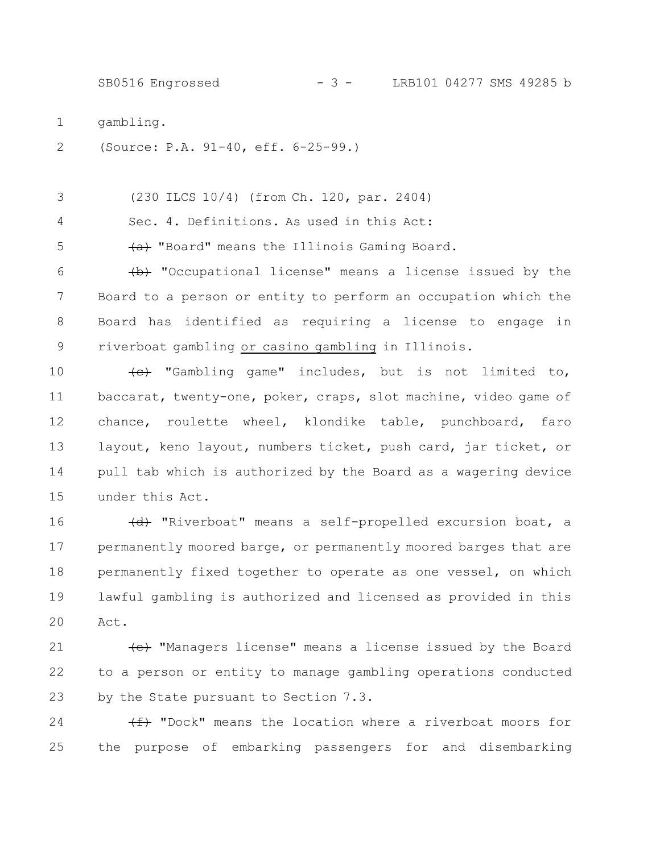SB0516 Engrossed - 3 - LRB101 04277 SMS 49285 b

- gambling. 1
- (Source: P.A. 91-40, eff. 6-25-99.) 2

(230 ILCS 10/4) (from Ch. 120, par. 2404) 3

Sec. 4. Definitions. As used in this Act: 4

 $\overline{a}$  "Board" means the Illinois Gaming Board. 5

 $\overline{b}$  "Occupational license" means a license issued by the Board to a person or entity to perform an occupation which the Board has identified as requiring a license to engage in riverboat gambling or casino gambling in Illinois. 6 7 8 9

(c) "Gambling game" includes, but is not limited to, baccarat, twenty-one, poker, craps, slot machine, video game of chance, roulette wheel, klondike table, punchboard, faro layout, keno layout, numbers ticket, push card, jar ticket, or pull tab which is authorized by the Board as a wagering device under this Act. 10 11 12 13 14 15

(d) "Riverboat" means a self-propelled excursion boat, a permanently moored barge, or permanently moored barges that are permanently fixed together to operate as one vessel, on which lawful gambling is authorized and licensed as provided in this Act. 16 17 18 19 20

(e) "Managers license" means a license issued by the Board to a person or entity to manage gambling operations conducted by the State pursuant to Section 7.3. 21 22 23

 $(f)$  "Dock" means the location where a riverboat moors for the purpose of embarking passengers for and disembarking 24 25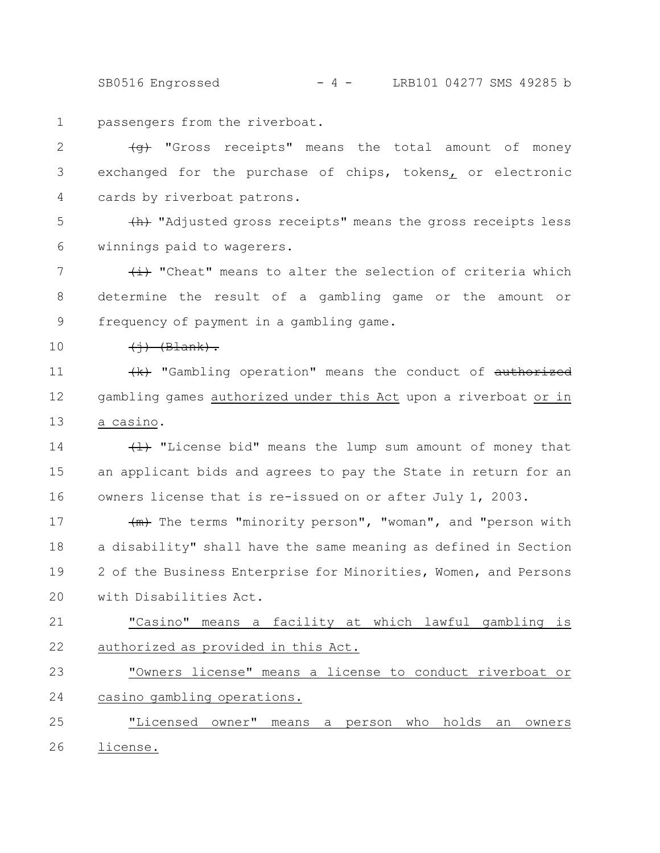SB0516 Engrossed - 4 - LRB101 04277 SMS 49285 b

passengers from the riverboat. 1

(g) "Gross receipts" means the total amount of money exchanged for the purchase of chips, tokens, or electronic cards by riverboat patrons. 2 3 4

(h) "Adjusted gross receipts" means the gross receipts less winnings paid to wagerers. 5 6

 $\leftrightarrow$  "Cheat" means to alter the selection of criteria which determine the result of a gambling game or the amount or frequency of payment in a gambling game. 7 8 9

 $\leftarrow$   $\leftarrow$   $\leftarrow$   $\leftarrow$ 10

 $\{k\}$  "Gambling operation" means the conduct of authorized gambling games authorized under this Act upon a riverboat or in a casino. 11 12 13

 $\{1\}$  "License bid" means the lump sum amount of money that an applicant bids and agrees to pay the State in return for an owners license that is re-issued on or after July 1, 2003. 14 15 16

 $\frac{1}{2}$  The terms "minority person", "woman", and "person with a disability" shall have the same meaning as defined in Section 2 of the Business Enterprise for Minorities, Women, and Persons with Disabilities Act. 17 18 19 20

"Casino" means a facility at which lawful gambling is authorized as provided in this Act. 21 22

"Owners license" means a license to conduct riverboat or casino gambling operations. 23 24

"Licensed owner" means a person who holds an owners license. 25 26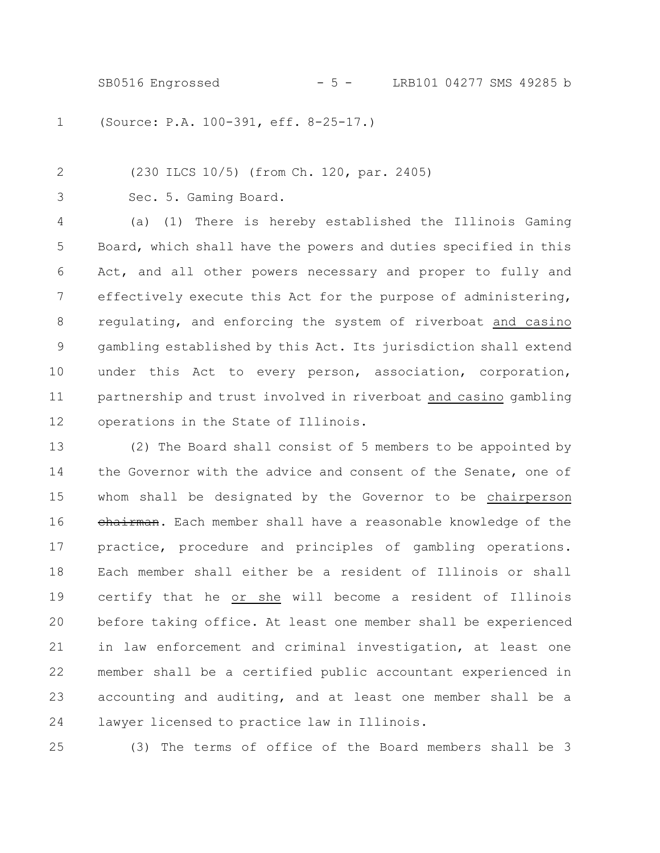SB0516 Engrossed - 5 - LRB101 04277 SMS 49285 b

(Source: P.A. 100-391, eff. 8-25-17.) 1

(230 ILCS 10/5) (from Ch. 120, par. 2405)

Sec. 5. Gaming Board. 3

2

(a) (1) There is hereby established the Illinois Gaming Board, which shall have the powers and duties specified in this Act, and all other powers necessary and proper to fully and effectively execute this Act for the purpose of administering, regulating, and enforcing the system of riverboat and casino gambling established by this Act. Its jurisdiction shall extend under this Act to every person, association, corporation, partnership and trust involved in riverboat and casino gambling operations in the State of Illinois. 4 5 6 7 8 9 10 11 12

(2) The Board shall consist of 5 members to be appointed by the Governor with the advice and consent of the Senate, one of whom shall be designated by the Governor to be chairperson chairman. Each member shall have a reasonable knowledge of the practice, procedure and principles of gambling operations. Each member shall either be a resident of Illinois or shall certify that he or she will become a resident of Illinois before taking office. At least one member shall be experienced in law enforcement and criminal investigation, at least one member shall be a certified public accountant experienced in accounting and auditing, and at least one member shall be a lawyer licensed to practice law in Illinois. 13 14 15 16 17 18 19 20 21 22 23 24

25

(3) The terms of office of the Board members shall be 3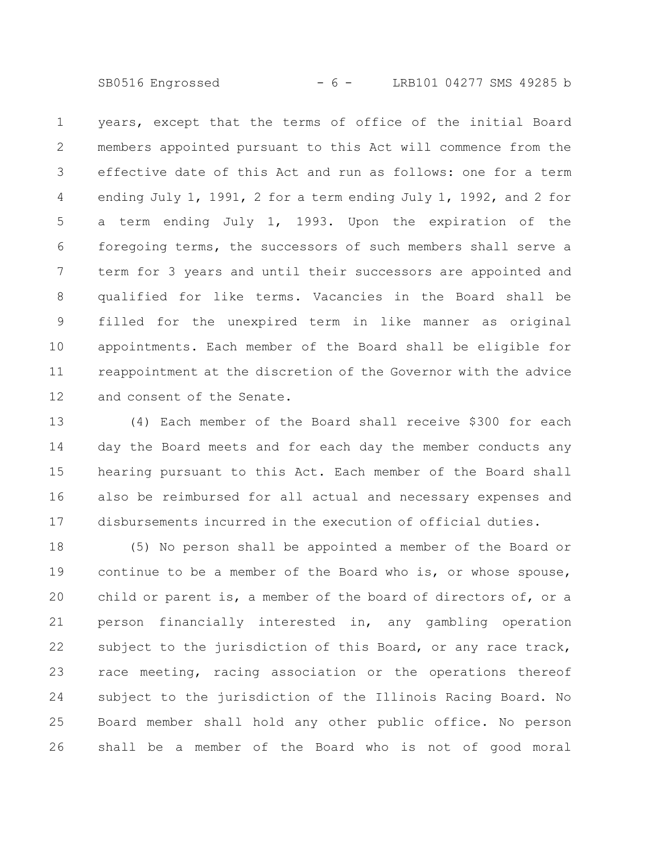SB0516 Engrossed - 6 - LRB101 04277 SMS 49285 b

years, except that the terms of office of the initial Board members appointed pursuant to this Act will commence from the effective date of this Act and run as follows: one for a term ending July 1, 1991, 2 for a term ending July 1, 1992, and 2 for a term ending July 1, 1993. Upon the expiration of the foregoing terms, the successors of such members shall serve a term for 3 years and until their successors are appointed and qualified for like terms. Vacancies in the Board shall be filled for the unexpired term in like manner as original appointments. Each member of the Board shall be eligible for reappointment at the discretion of the Governor with the advice and consent of the Senate. 1 2 3 4 5 6 7 8 9 10 11 12

(4) Each member of the Board shall receive \$300 for each day the Board meets and for each day the member conducts any hearing pursuant to this Act. Each member of the Board shall also be reimbursed for all actual and necessary expenses and disbursements incurred in the execution of official duties. 13 14 15 16 17

(5) No person shall be appointed a member of the Board or continue to be a member of the Board who is, or whose spouse, child or parent is, a member of the board of directors of, or a person financially interested in, any gambling operation subject to the jurisdiction of this Board, or any race track, race meeting, racing association or the operations thereof subject to the jurisdiction of the Illinois Racing Board. No Board member shall hold any other public office. No person shall be a member of the Board who is not of good moral 18 19 20 21 22 23 24 25 26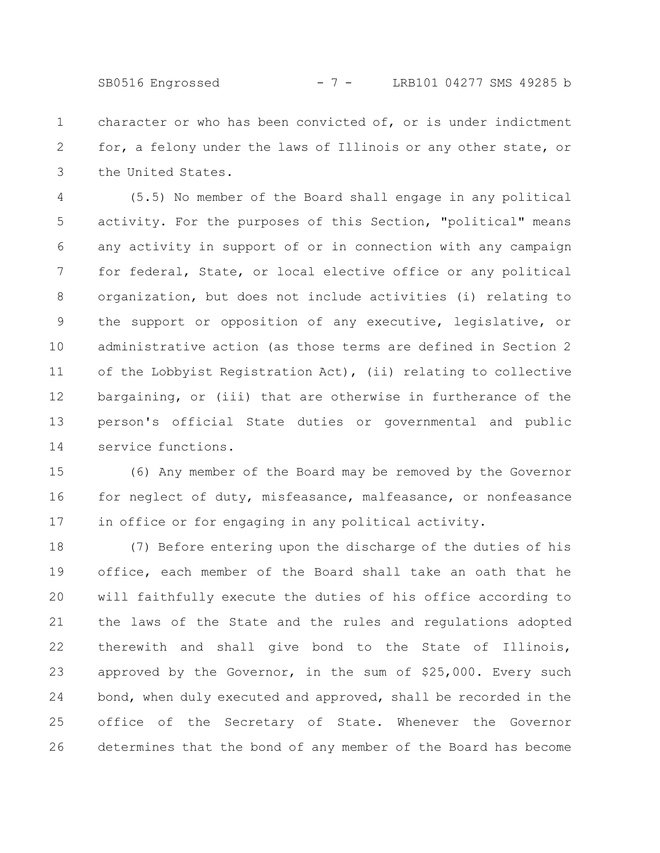SB0516 Engrossed - 7 - LRB101 04277 SMS 49285 b

character or who has been convicted of, or is under indictment for, a felony under the laws of Illinois or any other state, or the United States. 1 2 3

(5.5) No member of the Board shall engage in any political activity. For the purposes of this Section, "political" means any activity in support of or in connection with any campaign for federal, State, or local elective office or any political organization, but does not include activities (i) relating to the support or opposition of any executive, legislative, or administrative action (as those terms are defined in Section 2 of the Lobbyist Registration Act), (ii) relating to collective bargaining, or (iii) that are otherwise in furtherance of the person's official State duties or governmental and public service functions. 4 5 6 7 8 9 10 11 12 13 14

(6) Any member of the Board may be removed by the Governor for neglect of duty, misfeasance, malfeasance, or nonfeasance in office or for engaging in any political activity. 15 16 17

(7) Before entering upon the discharge of the duties of his office, each member of the Board shall take an oath that he will faithfully execute the duties of his office according to the laws of the State and the rules and regulations adopted therewith and shall give bond to the State of Illinois, approved by the Governor, in the sum of \$25,000. Every such bond, when duly executed and approved, shall be recorded in the office of the Secretary of State. Whenever the Governor determines that the bond of any member of the Board has become 18 19 20 21 22 23 24 25 26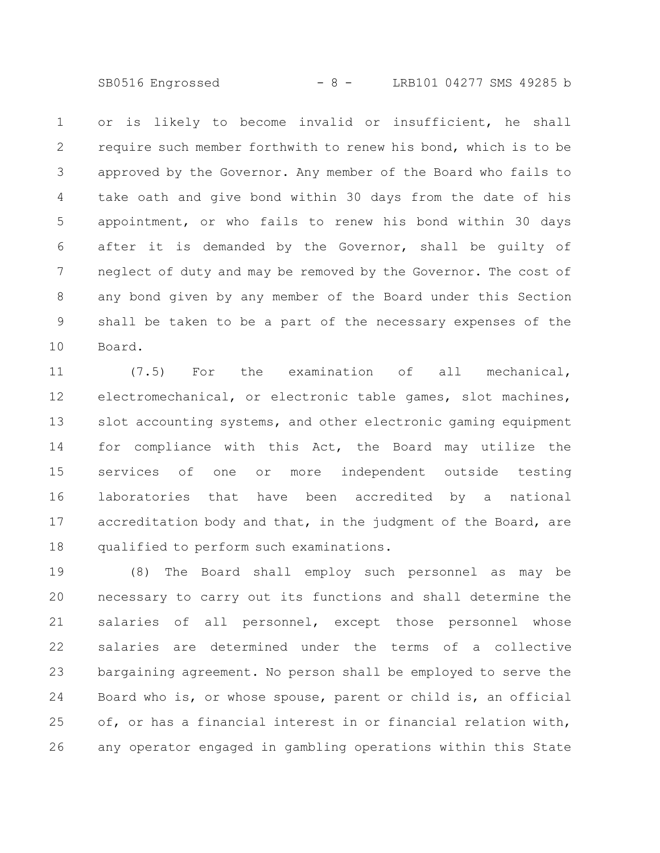SB0516 Engrossed - 8 - LRB101 04277 SMS 49285 b

or is likely to become invalid or insufficient, he shall require such member forthwith to renew his bond, which is to be approved by the Governor. Any member of the Board who fails to take oath and give bond within 30 days from the date of his appointment, or who fails to renew his bond within 30 days after it is demanded by the Governor, shall be guilty of neglect of duty and may be removed by the Governor. The cost of any bond given by any member of the Board under this Section shall be taken to be a part of the necessary expenses of the Board. 1 2 3 4 5 6 7 8 9 10

(7.5) For the examination of all mechanical, electromechanical, or electronic table games, slot machines, slot accounting systems, and other electronic gaming equipment for compliance with this Act, the Board may utilize the services of one or more independent outside testing laboratories that have been accredited by a national accreditation body and that, in the judgment of the Board, are qualified to perform such examinations. 11 12 13 14 15 16 17 18

(8) The Board shall employ such personnel as may be necessary to carry out its functions and shall determine the salaries of all personnel, except those personnel whose salaries are determined under the terms of a collective bargaining agreement. No person shall be employed to serve the Board who is, or whose spouse, parent or child is, an official of, or has a financial interest in or financial relation with, any operator engaged in gambling operations within this State 19 20 21 22 23 24 25 26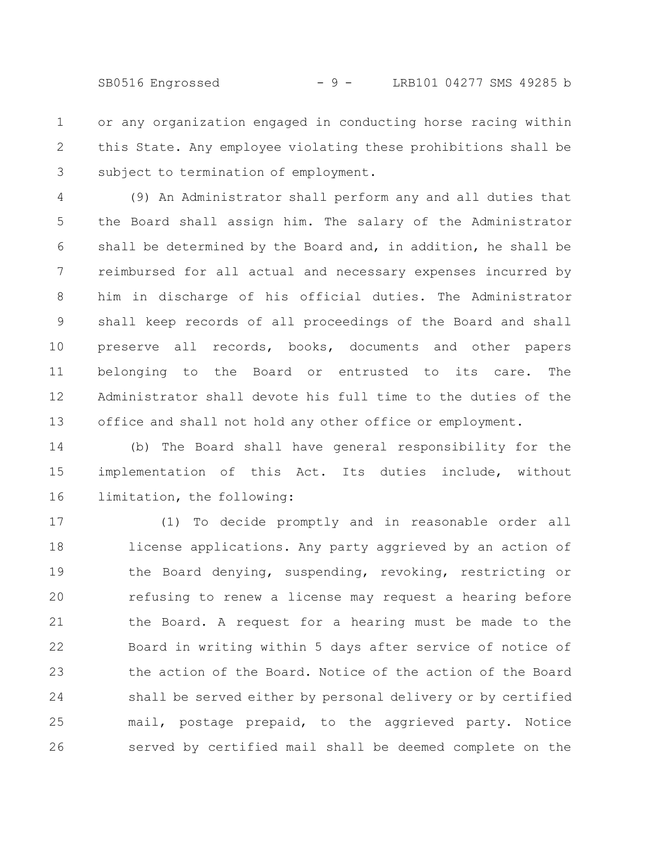SB0516 Engrossed - 9 - LRB101 04277 SMS 49285 b

or any organization engaged in conducting horse racing within this State. Any employee violating these prohibitions shall be subject to termination of employment. 1 2 3

(9) An Administrator shall perform any and all duties that the Board shall assign him. The salary of the Administrator shall be determined by the Board and, in addition, he shall be reimbursed for all actual and necessary expenses incurred by him in discharge of his official duties. The Administrator shall keep records of all proceedings of the Board and shall preserve all records, books, documents and other papers belonging to the Board or entrusted to its care. The Administrator shall devote his full time to the duties of the office and shall not hold any other office or employment. 4 5 6 7 8 9 10 11 12 13

(b) The Board shall have general responsibility for the implementation of this Act. Its duties include, without limitation, the following: 14 15 16

(1) To decide promptly and in reasonable order all license applications. Any party aggrieved by an action of the Board denying, suspending, revoking, restricting or refusing to renew a license may request a hearing before the Board. A request for a hearing must be made to the Board in writing within 5 days after service of notice of the action of the Board. Notice of the action of the Board shall be served either by personal delivery or by certified mail, postage prepaid, to the aggrieved party. Notice served by certified mail shall be deemed complete on the 17 18 19 20 21 22 23 24 25 26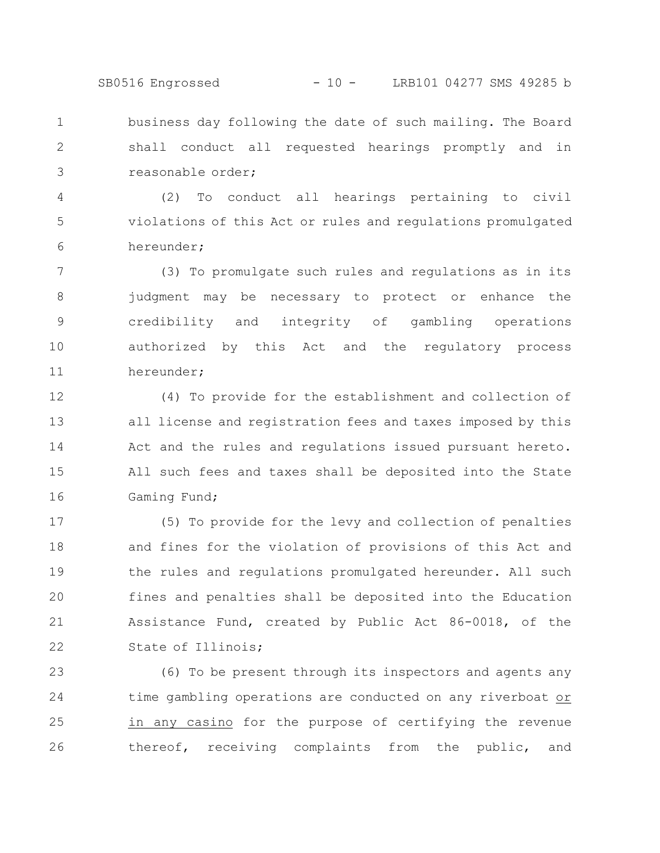SB0516 Engrossed - 10 - LRB101 04277 SMS 49285 b

business day following the date of such mailing. The Board shall conduct all requested hearings promptly and in reasonable order; 1 2 3

(2) To conduct all hearings pertaining to civil violations of this Act or rules and regulations promulgated hereunder; 4 5 6

(3) To promulgate such rules and regulations as in its judgment may be necessary to protect or enhance the credibility and integrity of gambling operations authorized by this Act and the regulatory process hereunder; 7 8 9 10 11

(4) To provide for the establishment and collection of all license and registration fees and taxes imposed by this Act and the rules and regulations issued pursuant hereto. All such fees and taxes shall be deposited into the State Gaming Fund; 12 13 14 15 16

(5) To provide for the levy and collection of penalties and fines for the violation of provisions of this Act and the rules and regulations promulgated hereunder. All such fines and penalties shall be deposited into the Education Assistance Fund, created by Public Act 86-0018, of the State of Illinois; 17 18 19 20 21 22

(6) To be present through its inspectors and agents any time gambling operations are conducted on any riverboat or in any casino for the purpose of certifying the revenue thereof, receiving complaints from the public, and 23 24 25 26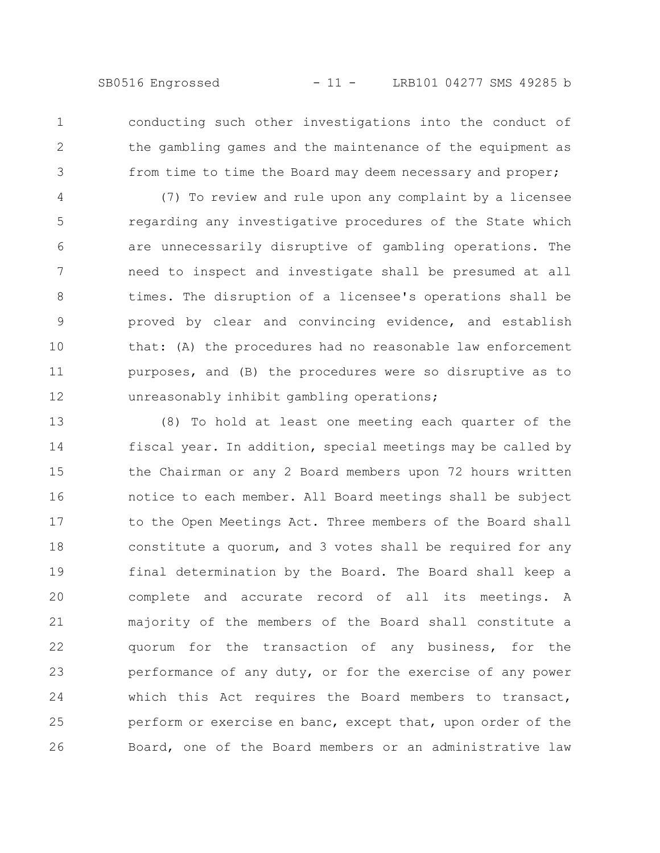conducting such other investigations into the conduct of the gambling games and the maintenance of the equipment as from time to time the Board may deem necessary and proper; 1 2 3

(7) To review and rule upon any complaint by a licensee regarding any investigative procedures of the State which are unnecessarily disruptive of gambling operations. The need to inspect and investigate shall be presumed at all times. The disruption of a licensee's operations shall be proved by clear and convincing evidence, and establish that: (A) the procedures had no reasonable law enforcement purposes, and (B) the procedures were so disruptive as to unreasonably inhibit gambling operations; 4 5 6 7 8 9 10 11 12

(8) To hold at least one meeting each quarter of the fiscal year. In addition, special meetings may be called by the Chairman or any 2 Board members upon 72 hours written notice to each member. All Board meetings shall be subject to the Open Meetings Act. Three members of the Board shall constitute a quorum, and 3 votes shall be required for any final determination by the Board. The Board shall keep a complete and accurate record of all its meetings. A majority of the members of the Board shall constitute a quorum for the transaction of any business, for the performance of any duty, or for the exercise of any power which this Act requires the Board members to transact, perform or exercise en banc, except that, upon order of the Board, one of the Board members or an administrative law 13 14 15 16 17 18 19 20 21 22 23 24 25 26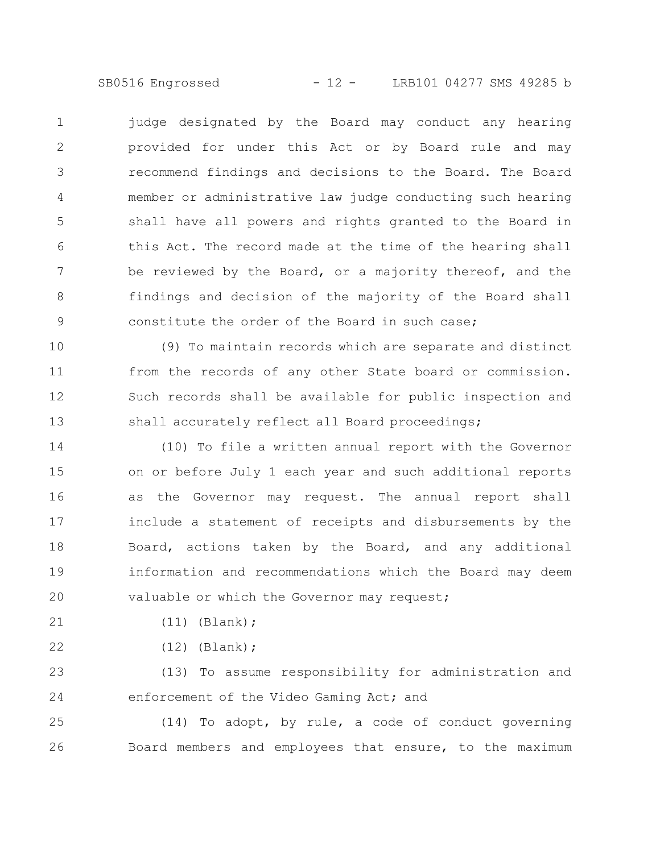SB0516 Engrossed - 12 - LRB101 04277 SMS 49285 b

judge designated by the Board may conduct any hearing provided for under this Act or by Board rule and may recommend findings and decisions to the Board. The Board member or administrative law judge conducting such hearing shall have all powers and rights granted to the Board in this Act. The record made at the time of the hearing shall be reviewed by the Board, or a majority thereof, and the findings and decision of the majority of the Board shall constitute the order of the Board in such case; 1 2 3 4 5 6 7 8 9

(9) To maintain records which are separate and distinct from the records of any other State board or commission. Such records shall be available for public inspection and shall accurately reflect all Board proceedings; 10 11 12 13

(10) To file a written annual report with the Governor on or before July 1 each year and such additional reports as the Governor may request. The annual report shall include a statement of receipts and disbursements by the Board, actions taken by the Board, and any additional information and recommendations which the Board may deem valuable or which the Governor may request; 14 15 16 17 18 19 20

(11) (Blank); 21

22

(12) (Blank);

(13) To assume responsibility for administration and enforcement of the Video Gaming Act; and 23 24

(14) To adopt, by rule, a code of conduct governing Board members and employees that ensure, to the maximum 25 26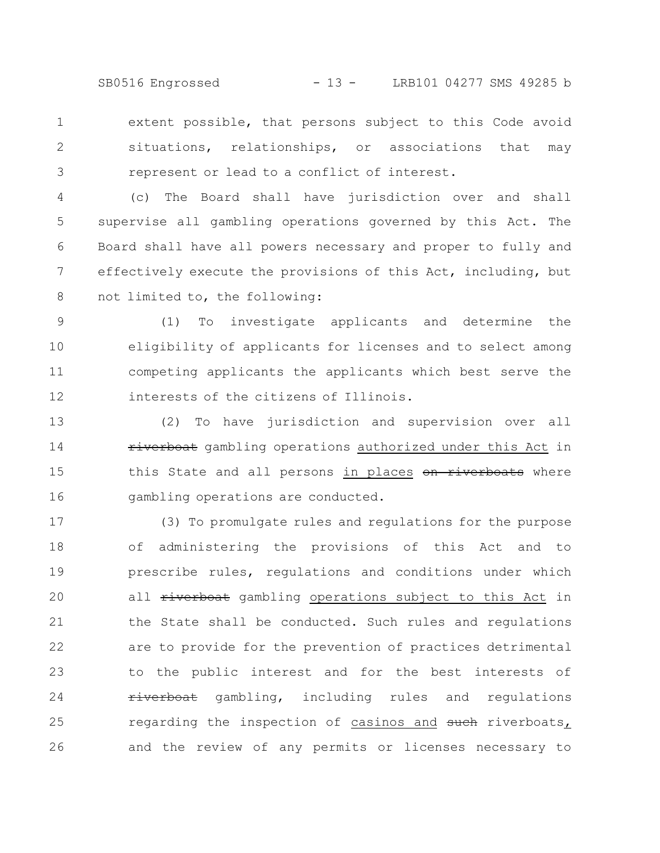SB0516 Engrossed - 13 - LRB101 04277 SMS 49285 b

extent possible, that persons subject to this Code avoid situations, relationships, or associations that may represent or lead to a conflict of interest. 1 2 3

(c) The Board shall have jurisdiction over and shall supervise all gambling operations governed by this Act. The Board shall have all powers necessary and proper to fully and effectively execute the provisions of this Act, including, but not limited to, the following: 4 5 6 7 8

(1) To investigate applicants and determine the eligibility of applicants for licenses and to select among competing applicants the applicants which best serve the interests of the citizens of Illinois. 9 10 11 12

(2) To have jurisdiction and supervision over all riverboat gambling operations authorized under this Act in this State and all persons in places on riverboats where gambling operations are conducted. 13 14 15 16

(3) To promulgate rules and regulations for the purpose of administering the provisions of this Act and to prescribe rules, regulations and conditions under which all riverboat gambling operations subject to this Act in the State shall be conducted. Such rules and regulations are to provide for the prevention of practices detrimental to the public interest and for the best interests of riverboat gambling, including rules and regulations regarding the inspection of casinos and such riverboats, and the review of any permits or licenses necessary to 17 18 19 20 21 22 23 24 25 26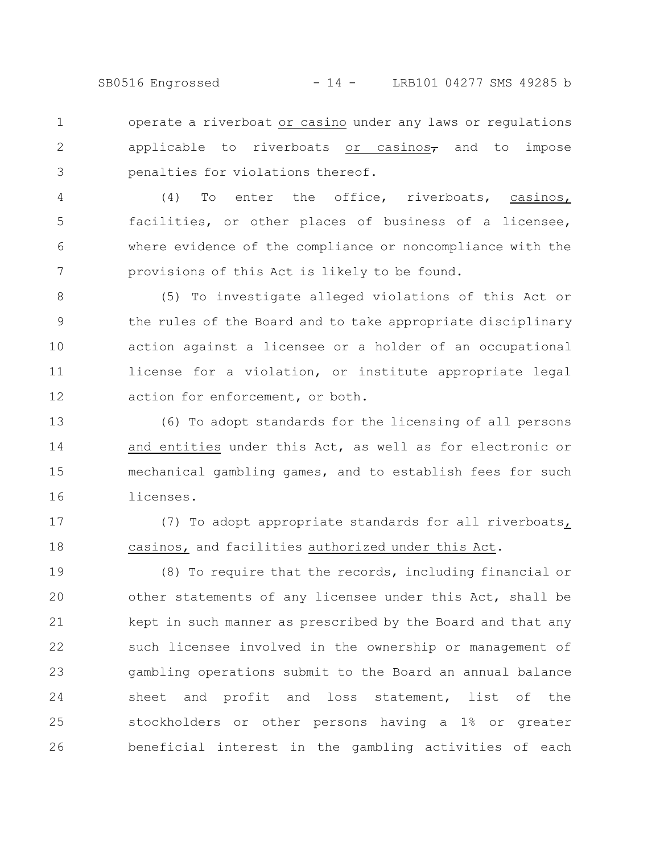SB0516 Engrossed - 14 - LRB101 04277 SMS 49285 b

operate a riverboat or casino under any laws or regulations applicable to riverboats or casinos $\tau$  and to impose penalties for violations thereof. 1 2 3

(4) To enter the office, riverboats, casinos, facilities, or other places of business of a licensee, where evidence of the compliance or noncompliance with the provisions of this Act is likely to be found. 4 5 6 7

(5) To investigate alleged violations of this Act or the rules of the Board and to take appropriate disciplinary action against a licensee or a holder of an occupational license for a violation, or institute appropriate legal action for enforcement, or both. 8 9 10 11 12

(6) To adopt standards for the licensing of all persons and entities under this Act, as well as for electronic or mechanical gambling games, and to establish fees for such licenses. 13 14 15 16

(7) To adopt appropriate standards for all riverboats, casinos, and facilities authorized under this Act. 17 18

(8) To require that the records, including financial or other statements of any licensee under this Act, shall be kept in such manner as prescribed by the Board and that any such licensee involved in the ownership or management of gambling operations submit to the Board an annual balance sheet and profit and loss statement, list of the stockholders or other persons having a 1% or greater beneficial interest in the gambling activities of each 19 20 21 22 23 24 25 26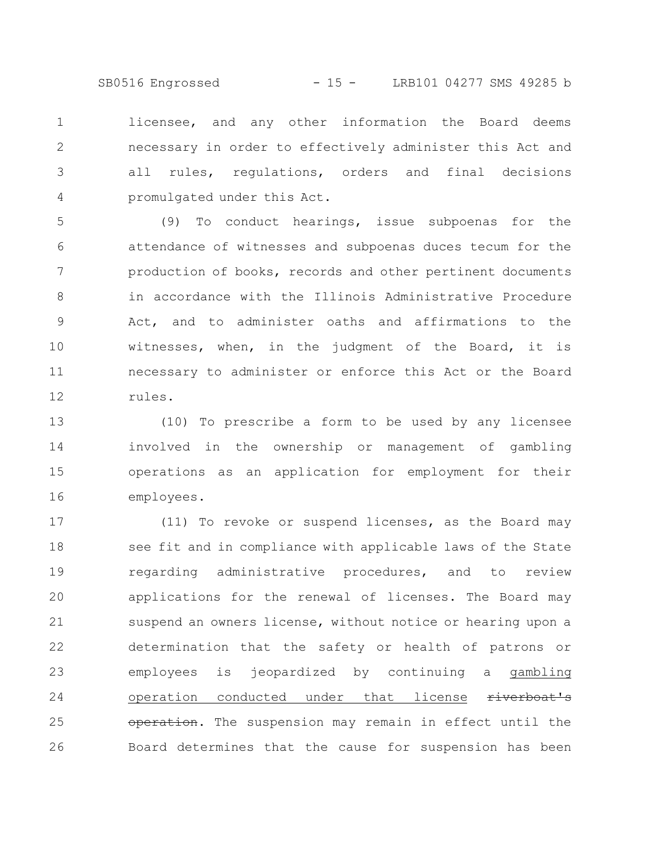SB0516 Engrossed - 15 - LRB101 04277 SMS 49285 b

licensee, and any other information the Board deems necessary in order to effectively administer this Act and all rules, regulations, orders and final decisions promulgated under this Act. 1 2 3 4

(9) To conduct hearings, issue subpoenas for the attendance of witnesses and subpoenas duces tecum for the production of books, records and other pertinent documents in accordance with the Illinois Administrative Procedure Act, and to administer oaths and affirmations to the witnesses, when, in the judgment of the Board, it is necessary to administer or enforce this Act or the Board rules. 5 6 7 8 9 10 11 12

(10) To prescribe a form to be used by any licensee involved in the ownership or management of gambling operations as an application for employment for their employees. 13 14 15 16

(11) To revoke or suspend licenses, as the Board may see fit and in compliance with applicable laws of the State regarding administrative procedures, and to review applications for the renewal of licenses. The Board may suspend an owners license, without notice or hearing upon a determination that the safety or health of patrons or employees is jeopardized by continuing a gambling operation conducted under that license riverboat's operation. The suspension may remain in effect until the Board determines that the cause for suspension has been 17 18 19 20 21 22 23 24 25 26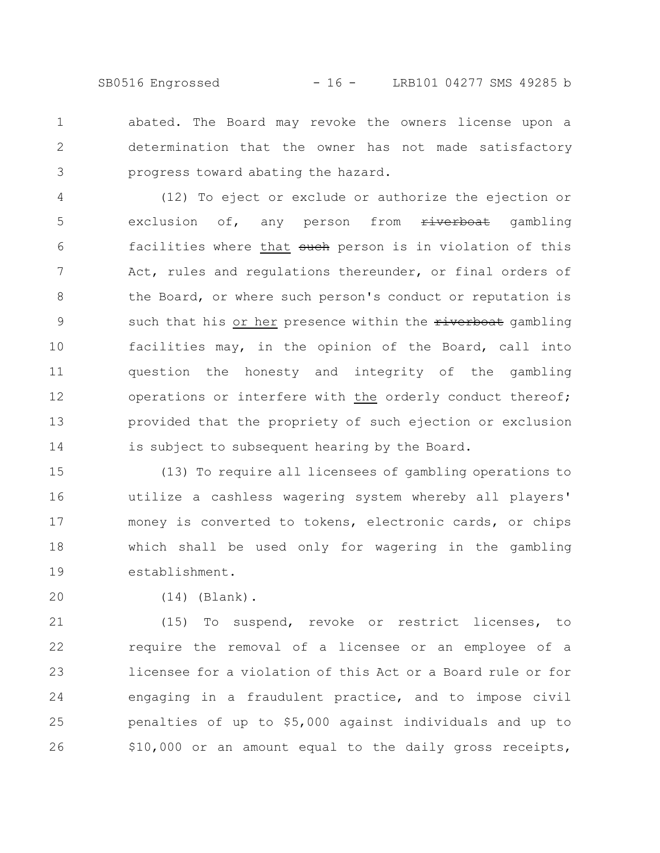SB0516 Engrossed - 16 - LRB101 04277 SMS 49285 b

abated. The Board may revoke the owners license upon a determination that the owner has not made satisfactory progress toward abating the hazard. 1 2 3

(12) To eject or exclude or authorize the ejection or exclusion of, any person from riverboat gambling facilities where that such person is in violation of this Act, rules and regulations thereunder, or final orders of the Board, or where such person's conduct or reputation is such that his or her presence within the riverboat gambling facilities may, in the opinion of the Board, call into question the honesty and integrity of the gambling operations or interfere with the orderly conduct thereof; provided that the propriety of such ejection or exclusion is subject to subsequent hearing by the Board. 4 5 6 7 8 9 10 11 12 13 14

(13) To require all licensees of gambling operations to utilize a cashless wagering system whereby all players' money is converted to tokens, electronic cards, or chips which shall be used only for wagering in the gambling establishment. 15 16 17 18 19

20

(14) (Blank).

(15) To suspend, revoke or restrict licenses, to require the removal of a licensee or an employee of a licensee for a violation of this Act or a Board rule or for engaging in a fraudulent practice, and to impose civil penalties of up to \$5,000 against individuals and up to \$10,000 or an amount equal to the daily gross receipts, 21 22 23 24 25 26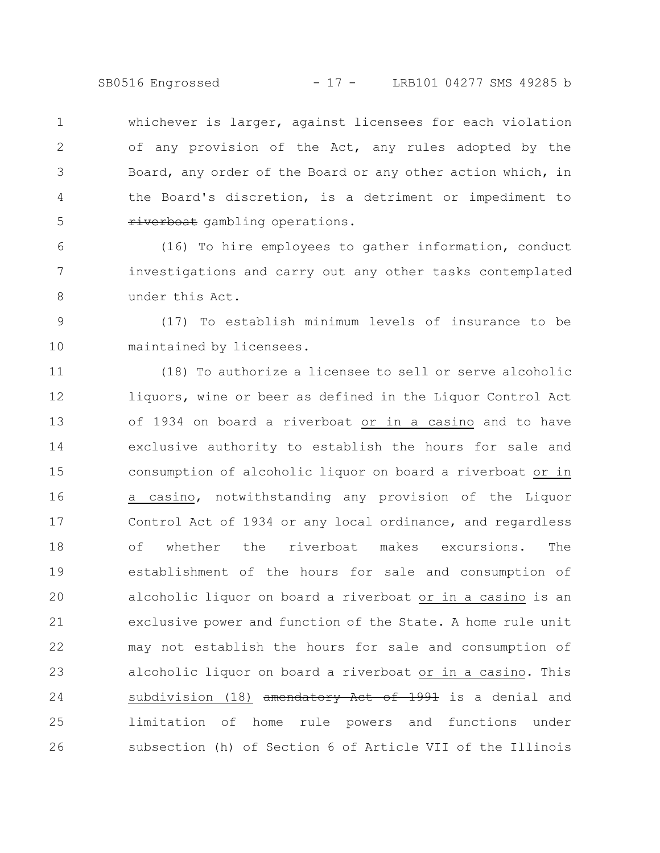SB0516 Engrossed - 17 - LRB101 04277 SMS 49285 b

whichever is larger, against licensees for each violation of any provision of the Act, any rules adopted by the Board, any order of the Board or any other action which, in the Board's discretion, is a detriment or impediment to riverboat gambling operations. 1 2 3 4 5

(16) To hire employees to gather information, conduct investigations and carry out any other tasks contemplated under this Act. 6 7 8

(17) To establish minimum levels of insurance to be maintained by licensees. 9 10

(18) To authorize a licensee to sell or serve alcoholic liquors, wine or beer as defined in the Liquor Control Act of 1934 on board a riverboat or in a casino and to have exclusive authority to establish the hours for sale and consumption of alcoholic liquor on board a riverboat or in a casino, notwithstanding any provision of the Liquor Control Act of 1934 or any local ordinance, and regardless of whether the riverboat makes excursions. The establishment of the hours for sale and consumption of alcoholic liquor on board a riverboat or in a casino is an exclusive power and function of the State. A home rule unit may not establish the hours for sale and consumption of alcoholic liquor on board a riverboat or in a casino. This subdivision (18) amendatory Act of 1991 is a denial and limitation of home rule powers and functions under subsection (h) of Section 6 of Article VII of the Illinois 11 12 13 14 15 16 17 18 19 20 21 22 23 24 25 26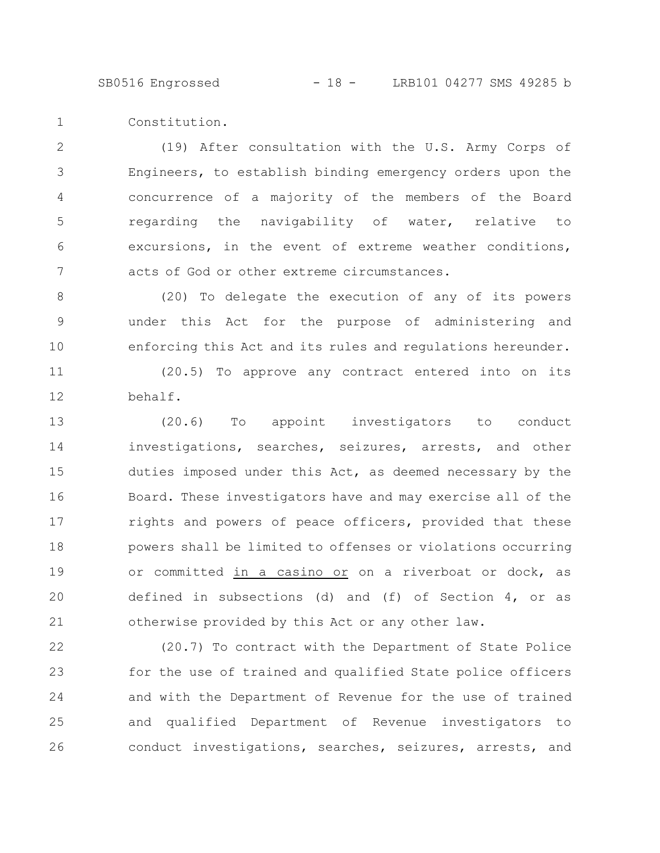SB0516 Engrossed - 18 - LRB101 04277 SMS 49285 b

Constitution. 1

(19) After consultation with the U.S. Army Corps of Engineers, to establish binding emergency orders upon the concurrence of a majority of the members of the Board regarding the navigability of water, relative to excursions, in the event of extreme weather conditions, acts of God or other extreme circumstances. 2 3 4 5 6 7

(20) To delegate the execution of any of its powers under this Act for the purpose of administering and enforcing this Act and its rules and regulations hereunder. 8 9 10

(20.5) To approve any contract entered into on its behalf. 11 12

(20.6) To appoint investigators to conduct investigations, searches, seizures, arrests, and other duties imposed under this Act, as deemed necessary by the Board. These investigators have and may exercise all of the rights and powers of peace officers, provided that these powers shall be limited to offenses or violations occurring or committed in a casino or on a riverboat or dock, as defined in subsections (d) and (f) of Section 4, or as otherwise provided by this Act or any other law. 13 14 15 16 17 18 19 20 21

(20.7) To contract with the Department of State Police for the use of trained and qualified State police officers and with the Department of Revenue for the use of trained and qualified Department of Revenue investigators to conduct investigations, searches, seizures, arrests, and 22 23 24 25 26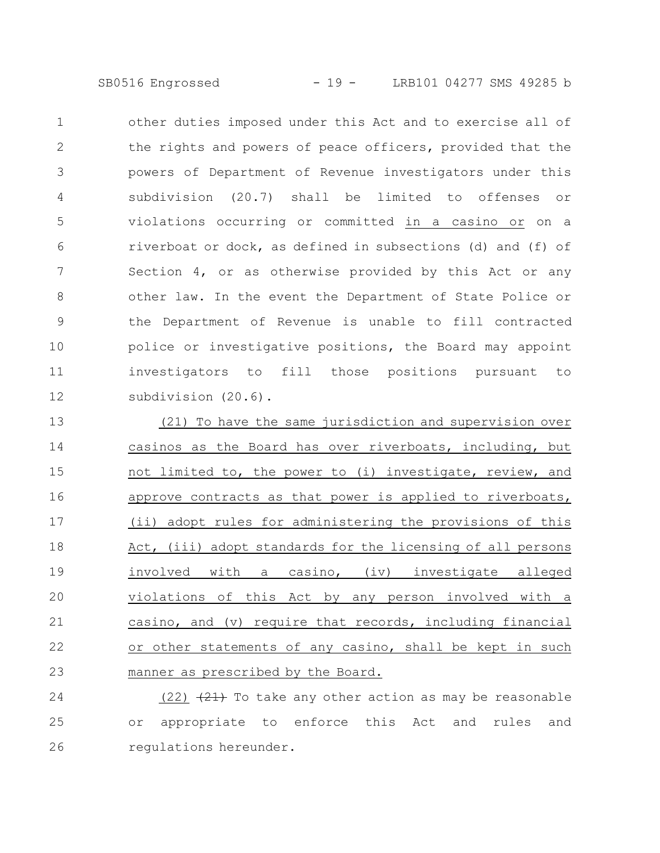SB0516 Engrossed - 19 - LRB101 04277 SMS 49285 b

other duties imposed under this Act and to exercise all of the rights and powers of peace officers, provided that the powers of Department of Revenue investigators under this subdivision (20.7) shall be limited to offenses or violations occurring or committed in a casino or on a riverboat or dock, as defined in subsections (d) and (f) of Section 4, or as otherwise provided by this Act or any other law. In the event the Department of State Police or the Department of Revenue is unable to fill contracted police or investigative positions, the Board may appoint investigators to fill those positions pursuant to subdivision (20.6). 1 2 3 4 5 6 7 8 9 10 11 12

(21) To have the same jurisdiction and supervision over casinos as the Board has over riverboats, including, but not limited to, the power to (i) investigate, review, and approve contracts as that power is applied to riverboats, (ii) adopt rules for administering the provisions of this Act, (iii) adopt standards for the licensing of all persons involved with a casino, (iv) investigate alleged violations of this Act by any person involved with a casino, and (v) require that records, including financial or other statements of any casino, shall be kept in such manner as prescribed by the Board. 13 14 15 16 17 18 19 20 21 22 23

(22)  $(21)$  To take any other action as may be reasonable or appropriate to enforce this Act and rules and regulations hereunder. 24 25 26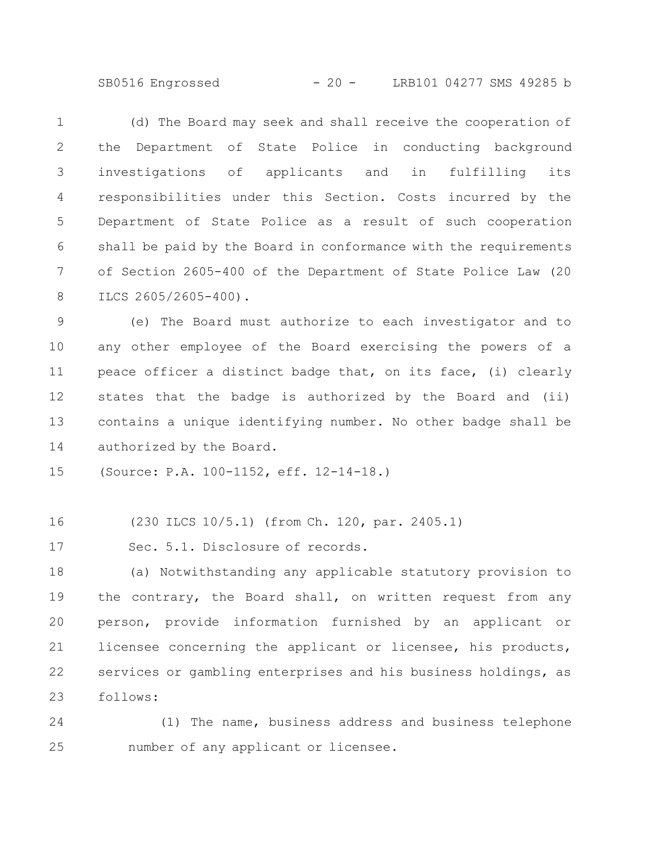SB0516 Engrossed - 20 - LRB101 04277 SMS 49285 b

(d) The Board may seek and shall receive the cooperation of the Department of State Police in conducting background investigations of applicants and in fulfilling its responsibilities under this Section. Costs incurred by the Department of State Police as a result of such cooperation shall be paid by the Board in conformance with the requirements of Section 2605-400 of the Department of State Police Law (20 ILCS 2605/2605-400). 1 2 3 4 5 6 7 8

(e) The Board must authorize to each investigator and to any other employee of the Board exercising the powers of a peace officer a distinct badge that, on its face, (i) clearly states that the badge is authorized by the Board and (ii) contains a unique identifying number. No other badge shall be authorized by the Board. 9 10 11 12 13 14

(Source: P.A. 100-1152, eff. 12-14-18.) 15

(230 ILCS 10/5.1) (from Ch. 120, par. 2405.1) 16

Sec. 5.1. Disclosure of records. 17

(a) Notwithstanding any applicable statutory provision to the contrary, the Board shall, on written request from any person, provide information furnished by an applicant or licensee concerning the applicant or licensee, his products, services or gambling enterprises and his business holdings, as follows: 18 19 20 21 22 23

(1) The name, business address and business telephone number of any applicant or licensee. 24 25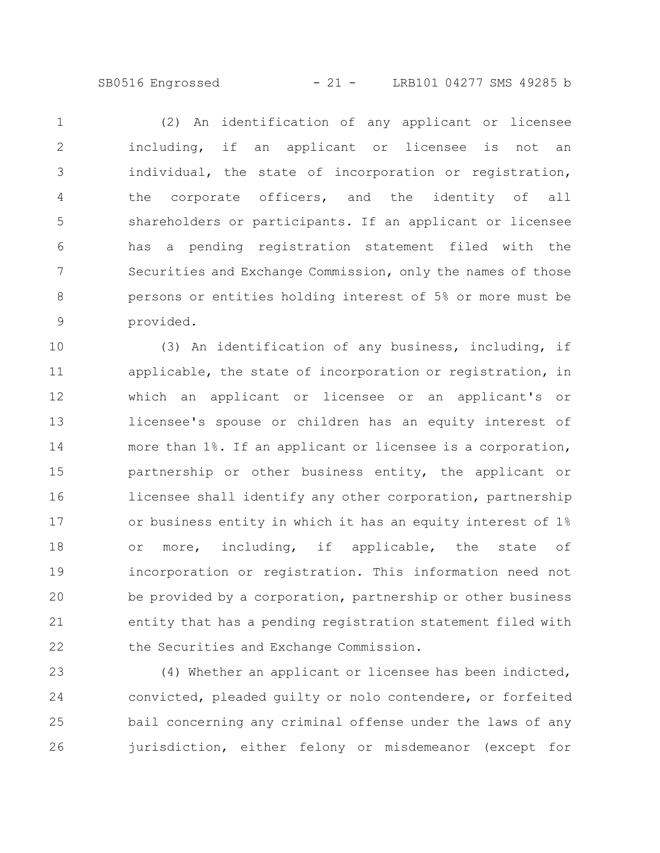(2) An identification of any applicant or licensee including, if an applicant or licensee is not an individual, the state of incorporation or registration, the corporate officers, and the identity of all shareholders or participants. If an applicant or licensee has a pending registration statement filed with the Securities and Exchange Commission, only the names of those persons or entities holding interest of 5% or more must be provided. 1 2 3 4 5 6 7 8 9

(3) An identification of any business, including, if applicable, the state of incorporation or registration, in which an applicant or licensee or an applicant's or licensee's spouse or children has an equity interest of more than 1%. If an applicant or licensee is a corporation, partnership or other business entity, the applicant or licensee shall identify any other corporation, partnership or business entity in which it has an equity interest of 1% or more, including, if applicable, the state of incorporation or registration. This information need not be provided by a corporation, partnership or other business entity that has a pending registration statement filed with the Securities and Exchange Commission. 10 11 12 13 14 15 16 17 18 19 20 21 22

(4) Whether an applicant or licensee has been indicted, convicted, pleaded guilty or nolo contendere, or forfeited bail concerning any criminal offense under the laws of any jurisdiction, either felony or misdemeanor (except for 23 24 25 26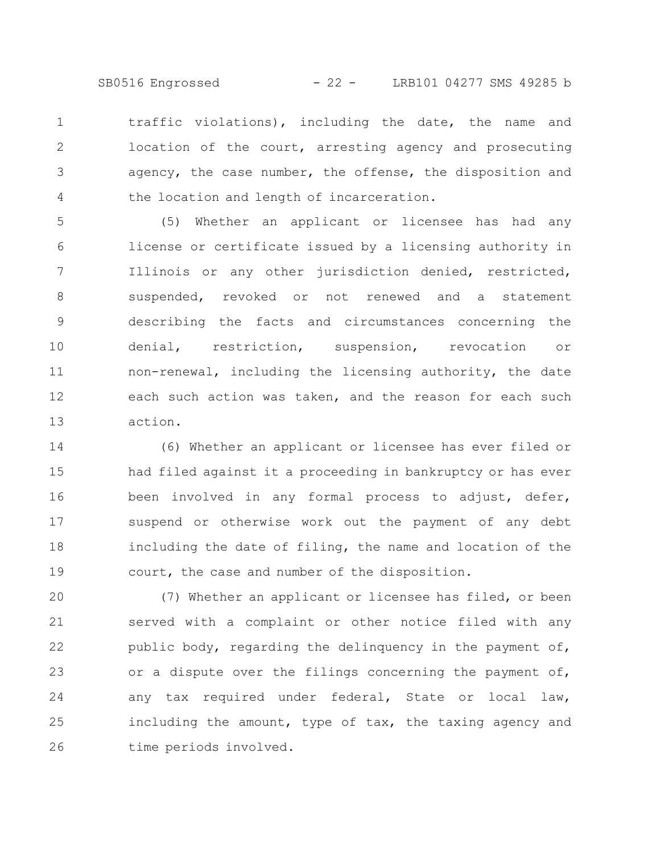SB0516 Engrossed - 22 - LRB101 04277 SMS 49285 b

traffic violations), including the date, the name and location of the court, arresting agency and prosecuting agency, the case number, the offense, the disposition and the location and length of incarceration. 1 2 3 4

(5) Whether an applicant or licensee has had any license or certificate issued by a licensing authority in Illinois or any other jurisdiction denied, restricted, suspended, revoked or not renewed and a statement describing the facts and circumstances concerning the denial, restriction, suspension, revocation or non-renewal, including the licensing authority, the date each such action was taken, and the reason for each such action. 5 6 7 8 9 10 11 12 13

(6) Whether an applicant or licensee has ever filed or had filed against it a proceeding in bankruptcy or has ever been involved in any formal process to adjust, defer, suspend or otherwise work out the payment of any debt including the date of filing, the name and location of the court, the case and number of the disposition. 14 15 16 17 18 19

(7) Whether an applicant or licensee has filed, or been served with a complaint or other notice filed with any public body, regarding the delinquency in the payment of, or a dispute over the filings concerning the payment of, any tax required under federal, State or local law, including the amount, type of tax, the taxing agency and time periods involved. 20 21 22 23 24 25 26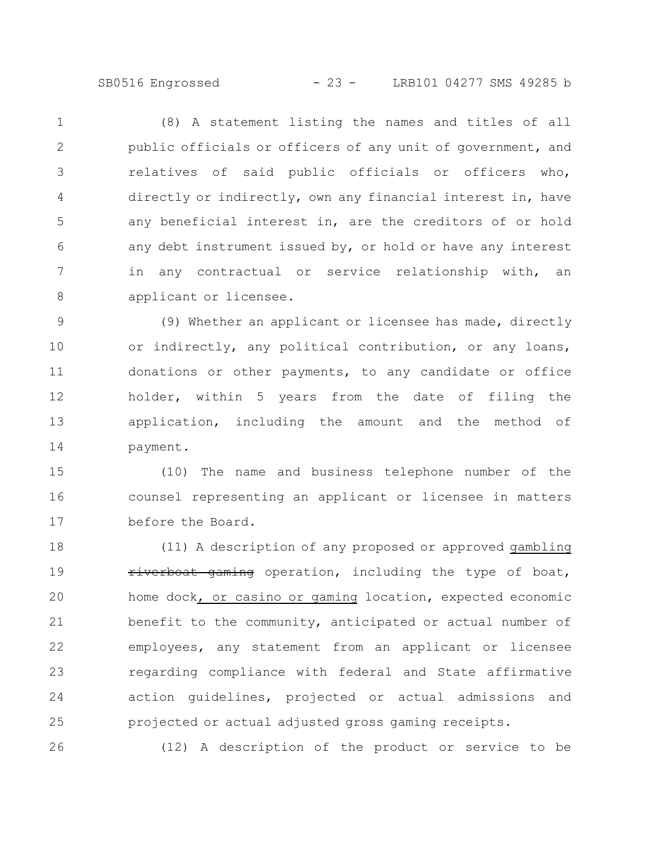SB0516 Engrossed - 23 - LRB101 04277 SMS 49285 b

(8) A statement listing the names and titles of all public officials or officers of any unit of government, and relatives of said public officials or officers who, directly or indirectly, own any financial interest in, have any beneficial interest in, are the creditors of or hold any debt instrument issued by, or hold or have any interest in any contractual or service relationship with, an applicant or licensee. 1 2 3 4 5 6 7 8

(9) Whether an applicant or licensee has made, directly or indirectly, any political contribution, or any loans, donations or other payments, to any candidate or office holder, within 5 years from the date of filing the application, including the amount and the method of payment. 9 10 11 12 13 14

(10) The name and business telephone number of the counsel representing an applicant or licensee in matters before the Board. 15 16 17

(11) A description of any proposed or approved gambling riverboat gaming operation, including the type of boat, home dock, or casino or gaming location, expected economic benefit to the community, anticipated or actual number of employees, any statement from an applicant or licensee regarding compliance with federal and State affirmative action guidelines, projected or actual admissions and projected or actual adjusted gross gaming receipts. 18 19 20 21 22 23 24 25

26

(12) A description of the product or service to be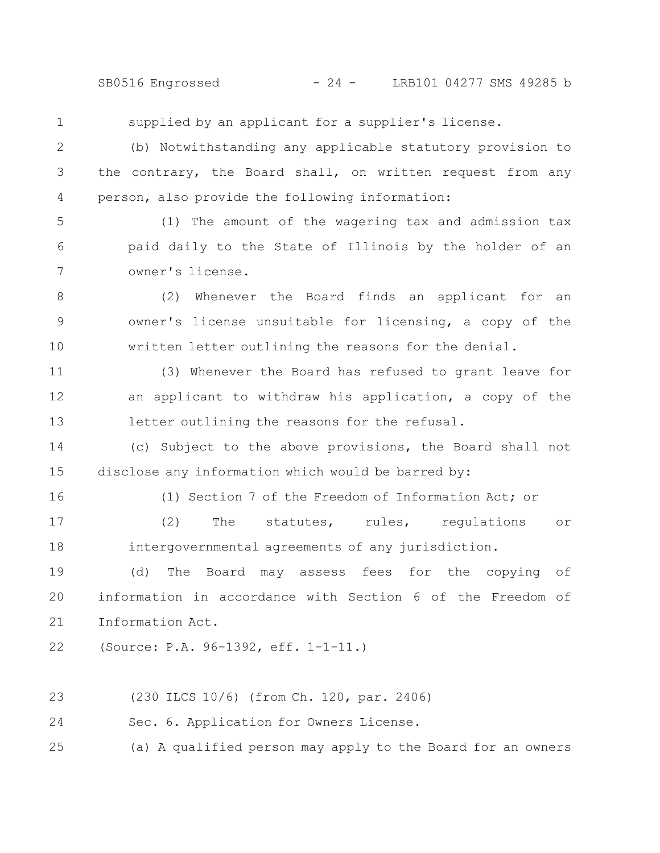SB0516 Engrossed - 24 - LRB101 04277 SMS 49285 b

supplied by an applicant for a supplier's license. (b) Notwithstanding any applicable statutory provision to the contrary, the Board shall, on written request from any person, also provide the following information: (1) The amount of the wagering tax and admission tax paid daily to the State of Illinois by the holder of an owner's license. (2) Whenever the Board finds an applicant for an owner's license unsuitable for licensing, a copy of the written letter outlining the reasons for the denial. (3) Whenever the Board has refused to grant leave for an applicant to withdraw his application, a copy of the letter outlining the reasons for the refusal. (c) Subject to the above provisions, the Board shall not disclose any information which would be barred by: (1) Section 7 of the Freedom of Information Act; or (2) The statutes, rules, regulations or intergovernmental agreements of any jurisdiction. (d) The Board may assess fees for the copying of information in accordance with Section 6 of the Freedom of Information Act. (Source: P.A. 96-1392, eff. 1-1-11.) (230 ILCS 10/6) (from Ch. 120, par. 2406) Sec. 6. Application for Owners License. 1 2 3 4 5 6 7 8 9 10 11 12 13 14 15 16 17 18 19 20 21 22 23 24

(a) A qualified person may apply to the Board for an owners 25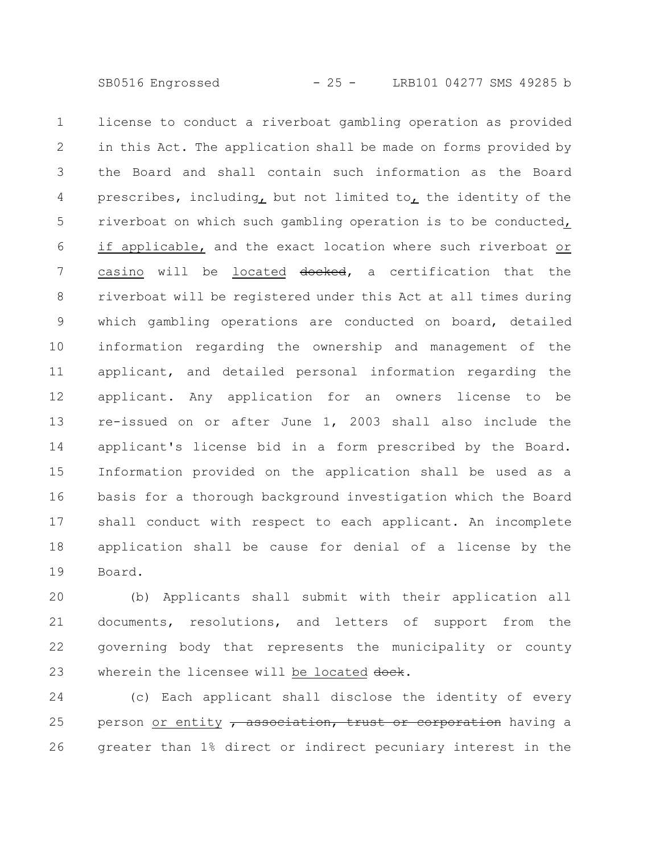license to conduct a riverboat gambling operation as provided in this Act. The application shall be made on forms provided by the Board and shall contain such information as the Board prescribes, including, but not limited to, the identity of the riverboat on which such gambling operation is to be conducted, if applicable, and the exact location where such riverboat or casino will be located docked, a certification that the riverboat will be registered under this Act at all times during which gambling operations are conducted on board, detailed information regarding the ownership and management of the applicant, and detailed personal information regarding the applicant. Any application for an owners license to be re-issued on or after June 1, 2003 shall also include the applicant's license bid in a form prescribed by the Board. Information provided on the application shall be used as a basis for a thorough background investigation which the Board shall conduct with respect to each applicant. An incomplete application shall be cause for denial of a license by the Board. 1 2 3 4 5 6 7 8 9 10 11 12 13 14 15 16 17 18 19

(b) Applicants shall submit with their application all documents, resolutions, and letters of support from the governing body that represents the municipality or county wherein the licensee will be located dock. 20 21 22 23

(c) Each applicant shall disclose the identity of every person or entity  $\tau$  association, trust or corporation having a greater than 1% direct or indirect pecuniary interest in the 24 25 26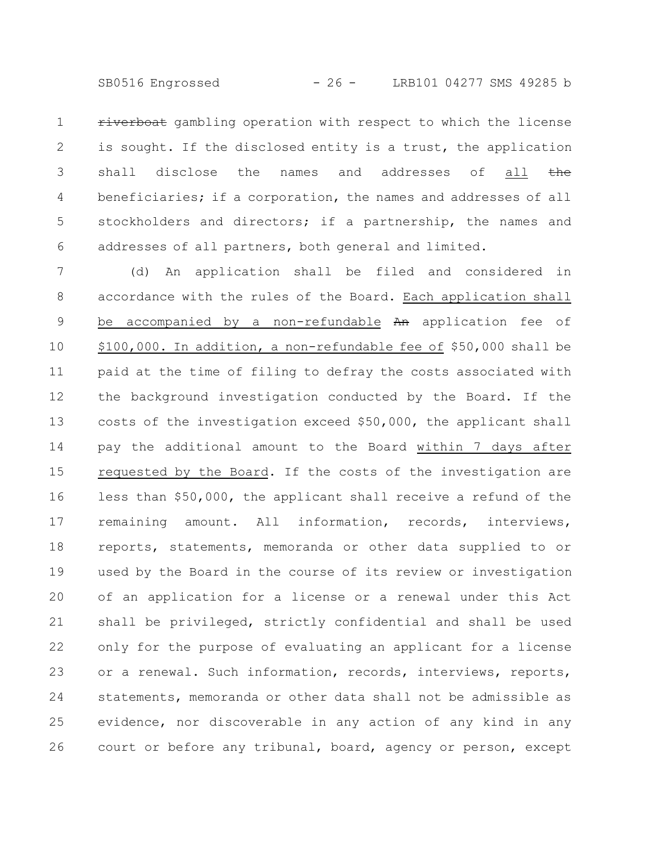SB0516 Engrossed - 26 - LRB101 04277 SMS 49285 b

riverboat gambling operation with respect to which the license is sought. If the disclosed entity is a trust, the application shall disclose the names and addresses of all the beneficiaries; if a corporation, the names and addresses of all stockholders and directors; if a partnership, the names and addresses of all partners, both general and limited. 1 2 3 4 5 6

(d) An application shall be filed and considered in accordance with the rules of the Board. Each application shall be accompanied by a non-refundable An application fee of \$100,000. In addition, a non-refundable fee of \$50,000 shall be paid at the time of filing to defray the costs associated with the background investigation conducted by the Board. If the costs of the investigation exceed \$50,000, the applicant shall pay the additional amount to the Board within 7 days after requested by the Board. If the costs of the investigation are less than \$50,000, the applicant shall receive a refund of the remaining amount. All information, records, interviews, reports, statements, memoranda or other data supplied to or used by the Board in the course of its review or investigation of an application for a license or a renewal under this Act shall be privileged, strictly confidential and shall be used only for the purpose of evaluating an applicant for a license or a renewal. Such information, records, interviews, reports, statements, memoranda or other data shall not be admissible as evidence, nor discoverable in any action of any kind in any court or before any tribunal, board, agency or person, except 7 8 9 10 11 12 13 14 15 16 17 18 19 20 21 22 23 24 25 26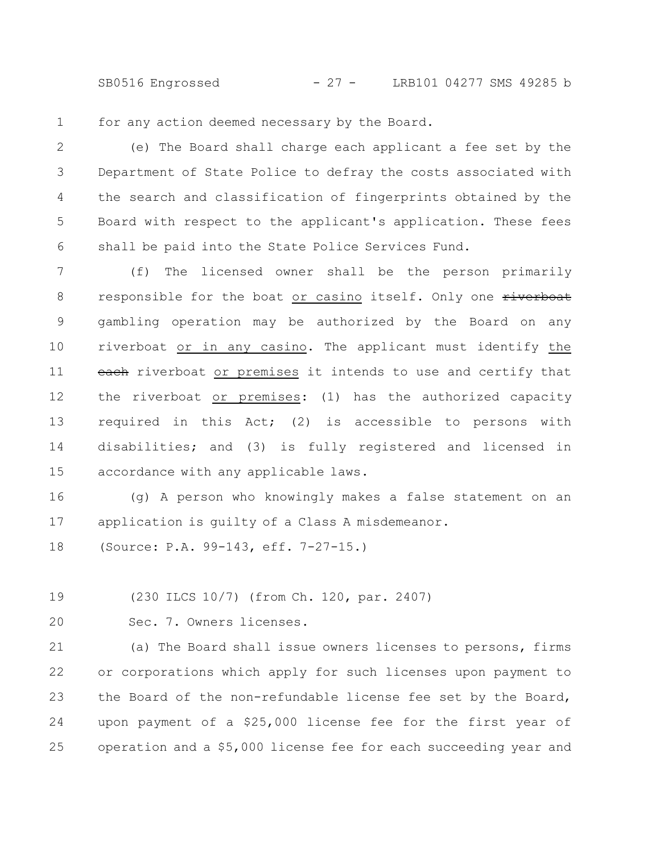SB0516 Engrossed - 27 - LRB101 04277 SMS 49285 b

for any action deemed necessary by the Board. 1

(e) The Board shall charge each applicant a fee set by the Department of State Police to defray the costs associated with the search and classification of fingerprints obtained by the Board with respect to the applicant's application. These fees shall be paid into the State Police Services Fund. 2 3 4 5 6

(f) The licensed owner shall be the person primarily responsible for the boat or casino itself. Only one riverboat gambling operation may be authorized by the Board on any riverboat or in any casino. The applicant must identify the each riverboat or premises it intends to use and certify that the riverboat or premises: (1) has the authorized capacity required in this Act; (2) is accessible to persons with disabilities; and (3) is fully registered and licensed in accordance with any applicable laws. 7 8 9 10 11 12 13 14 15

(g) A person who knowingly makes a false statement on an application is guilty of a Class A misdemeanor. 16 17

(Source: P.A. 99-143, eff. 7-27-15.) 18

(230 ILCS 10/7) (from Ch. 120, par. 2407) 19

20

Sec. 7. Owners licenses.

(a) The Board shall issue owners licenses to persons, firms or corporations which apply for such licenses upon payment to the Board of the non-refundable license fee set by the Board, upon payment of a \$25,000 license fee for the first year of operation and a \$5,000 license fee for each succeeding year and 21 22 23 24 25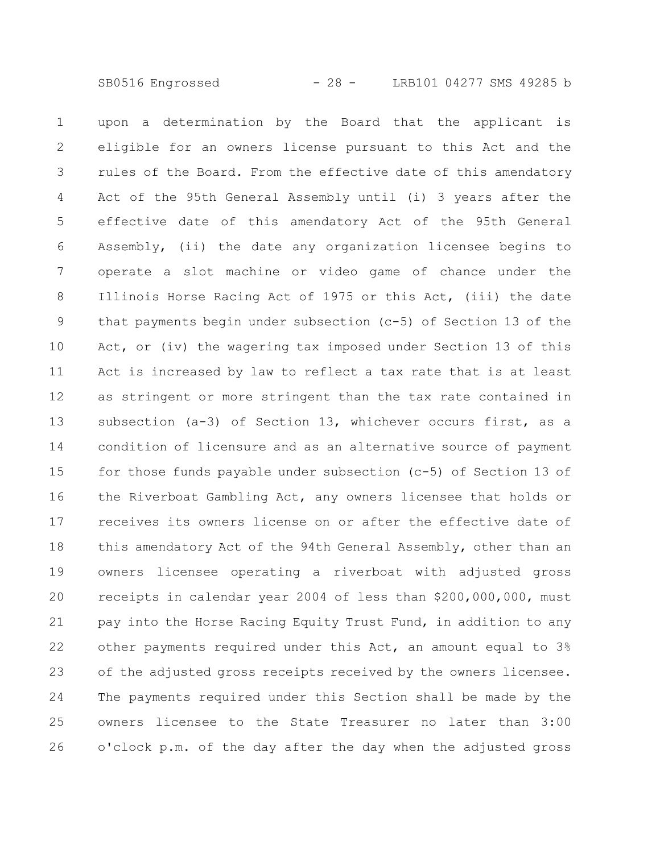upon a determination by the Board that the applicant is eligible for an owners license pursuant to this Act and the rules of the Board. From the effective date of this amendatory Act of the 95th General Assembly until (i) 3 years after the effective date of this amendatory Act of the 95th General Assembly, (ii) the date any organization licensee begins to operate a slot machine or video game of chance under the Illinois Horse Racing Act of 1975 or this Act, (iii) the date that payments begin under subsection (c-5) of Section 13 of the Act, or (iv) the wagering tax imposed under Section 13 of this Act is increased by law to reflect a tax rate that is at least as stringent or more stringent than the tax rate contained in subsection (a-3) of Section 13, whichever occurs first, as a condition of licensure and as an alternative source of payment for those funds payable under subsection (c-5) of Section 13 of the Riverboat Gambling Act, any owners licensee that holds or receives its owners license on or after the effective date of this amendatory Act of the 94th General Assembly, other than an owners licensee operating a riverboat with adjusted gross receipts in calendar year 2004 of less than \$200,000,000, must pay into the Horse Racing Equity Trust Fund, in addition to any other payments required under this Act, an amount equal to 3% of the adjusted gross receipts received by the owners licensee. The payments required under this Section shall be made by the owners licensee to the State Treasurer no later than 3:00 o'clock p.m. of the day after the day when the adjusted gross 1 2 3 4 5 6 7 8 9 10 11 12 13 14 15 16 17 18 19 20 21 22 23 24 25 26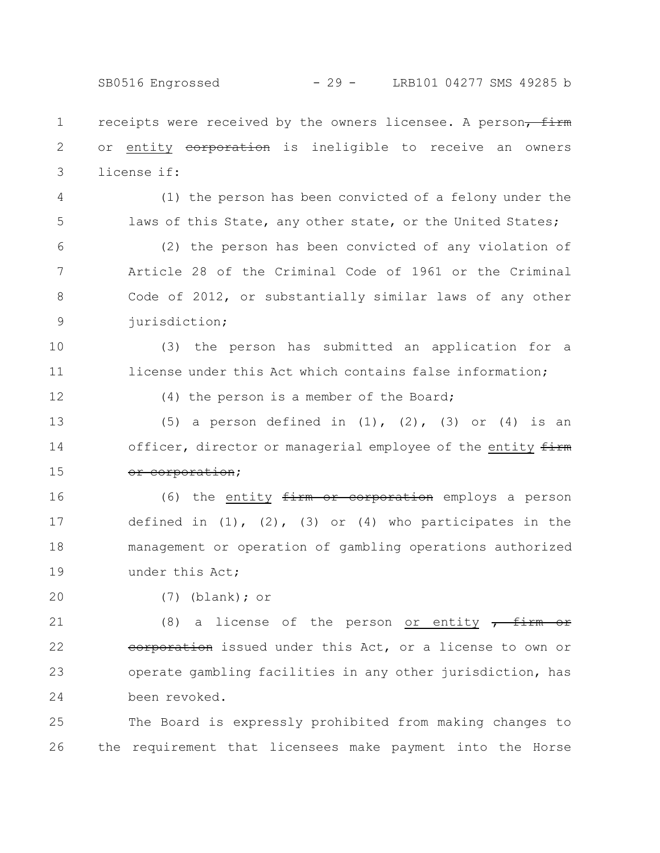SB0516 Engrossed - 29 - LRB101 04277 SMS 49285 b

receipts were received by the owners licensee. A person, firm or entity eorporation is ineligible to receive an owners license if: 1 2 3

4 5

(1) the person has been convicted of a felony under the laws of this State, any other state, or the United States;

(2) the person has been convicted of any violation of Article 28 of the Criminal Code of 1961 or the Criminal Code of 2012, or substantially similar laws of any other jurisdiction; 6 7 8 9

(3) the person has submitted an application for a license under this Act which contains false information; 10 11

12

(4) the person is a member of the Board;

(5) a person defined in  $(1)$ ,  $(2)$ ,  $(3)$  or  $(4)$  is an officer, director or managerial employee of the entity  $firm$ or corporation; 13 14 15

(6) the entity  $firm$  or corporation employs a person defined in  $(1)$ ,  $(2)$ ,  $(3)$  or  $(4)$  who participates in the management or operation of gambling operations authorized under this Act; 16 17 18 19

20

(7) (blank); or

(8) a license of the person or entity  $\frac{1}{\sqrt{1-\frac{1}{\sqrt{1-\frac{1}{\sqrt{1-\frac{1}{\sqrt{1-\frac{1}{\sqrt{1-\frac{1}{\sqrt{1-\frac{1}{\sqrt{1-\frac{1}{\sqrt{1-\frac{1}{\sqrt{1-\frac{1}{\sqrt{1-\frac{1}{\sqrt{1-\frac{1}{\sqrt{1-\frac{1}{\sqrt{1-\frac{1}{\sqrt{1-\frac{1}{\sqrt{1-\frac{1}{\sqrt{1-\frac{1}{\sqrt{1-\frac{1}{\sqrt{1-\frac{1}{\sqrt{1-\frac{1}{\sqrt{1-\frac$ corporation issued under this Act, or a license to own or operate gambling facilities in any other jurisdiction, has been revoked. 21 22 23 24

The Board is expressly prohibited from making changes to the requirement that licensees make payment into the Horse 25 26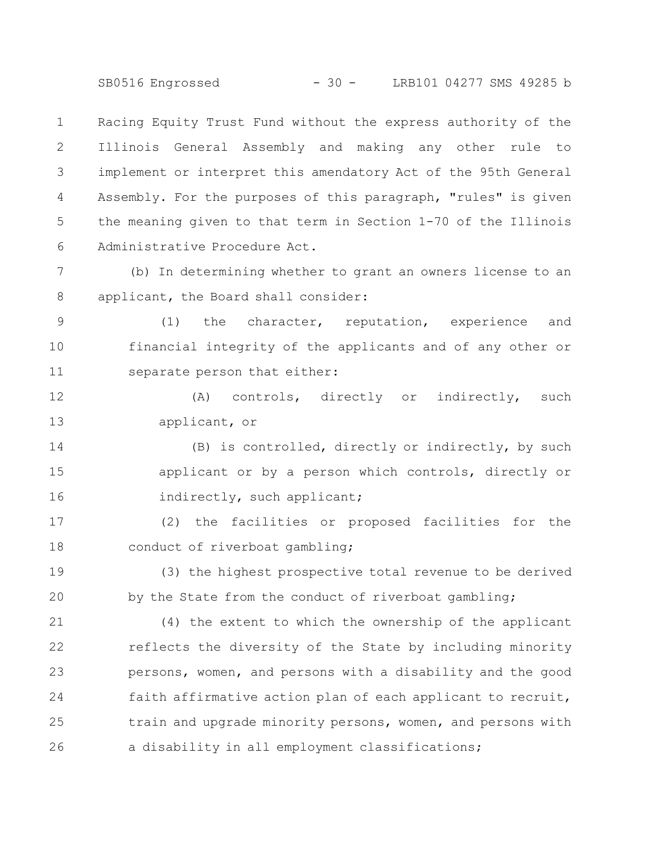SB0516 Engrossed - 30 - LRB101 04277 SMS 49285 b

Racing Equity Trust Fund without the express authority of the Illinois General Assembly and making any other rule to implement or interpret this amendatory Act of the 95th General Assembly. For the purposes of this paragraph, "rules" is given the meaning given to that term in Section 1-70 of the Illinois Administrative Procedure Act. 1 2 3 4 5 6

(b) In determining whether to grant an owners license to an applicant, the Board shall consider: 7 8

(1) the character, reputation, experience and financial integrity of the applicants and of any other or separate person that either: 9 10 11

(A) controls, directly or indirectly, such applicant, or 12 13

(B) is controlled, directly or indirectly, by such applicant or by a person which controls, directly or indirectly, such applicant; 14 15 16

(2) the facilities or proposed facilities for the conduct of riverboat gambling; 17 18

(3) the highest prospective total revenue to be derived by the State from the conduct of riverboat gambling; 19 20

(4) the extent to which the ownership of the applicant reflects the diversity of the State by including minority persons, women, and persons with a disability and the good faith affirmative action plan of each applicant to recruit, train and upgrade minority persons, women, and persons with a disability in all employment classifications; 21 22 23 24 25 26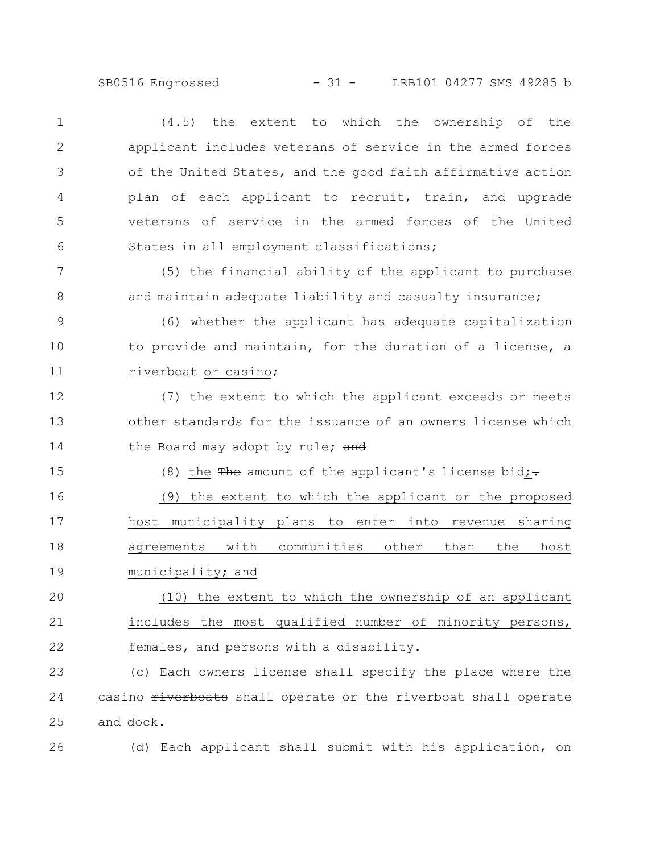SB0516 Engrossed - 31 - LRB101 04277 SMS 49285 b

(4.5) the extent to which the ownership of the applicant includes veterans of service in the armed forces of the United States, and the good faith affirmative action plan of each applicant to recruit, train, and upgrade veterans of service in the armed forces of the United States in all employment classifications; (5) the financial ability of the applicant to purchase and maintain adequate liability and casualty insurance; (6) whether the applicant has adequate capitalization to provide and maintain, for the duration of a license, a riverboat or casino; (7) the extent to which the applicant exceeds or meets other standards for the issuance of an owners license which the Board may adopt by rule; and (8) the  $\frac{m}{100}$  amount of the applicant's license bid;-(9) the extent to which the applicant or the proposed host municipality plans to enter into revenue sharing agreements with communities other than the host municipality; and (10) the extent to which the ownership of an applicant includes the most qualified number of minority persons, females, and persons with a disability. (c) Each owners license shall specify the place where the casino riverboats shall operate or the riverboat shall operate and dock. (d) Each applicant shall submit with his application, on 1 2 3 4 5 6 7 8 9 10 11 12 13 14 15 16 17 18 19 20 21 22 23 24 25 26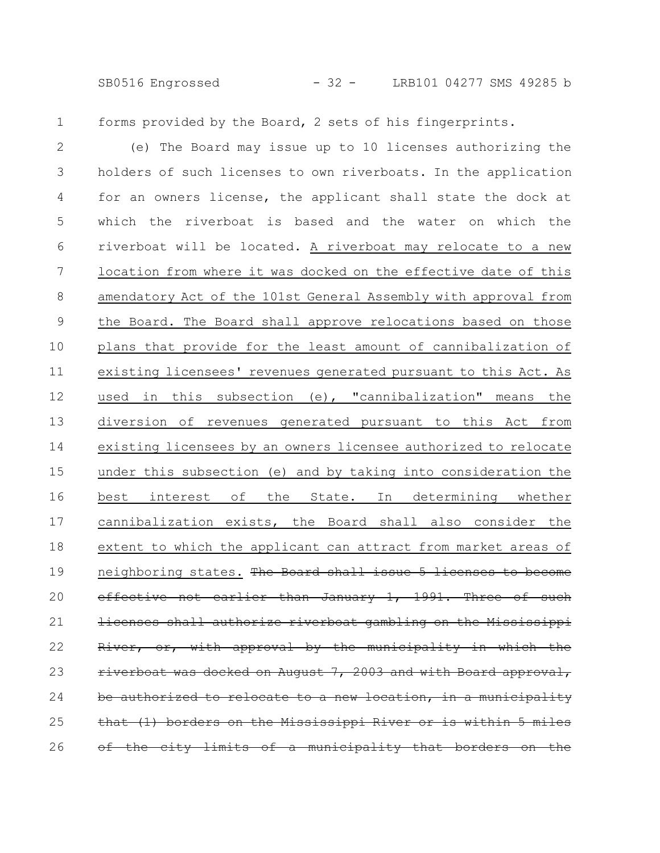SB0516 Engrossed - 32 - LRB101 04277 SMS 49285 b

1

forms provided by the Board, 2 sets of his fingerprints.

(e) The Board may issue up to 10 licenses authorizing the holders of such licenses to own riverboats. In the application for an owners license, the applicant shall state the dock at which the riverboat is based and the water on which the riverboat will be located. A riverboat may relocate to a new location from where it was docked on the effective date of this amendatory Act of the 101st General Assembly with approval from the Board. The Board shall approve relocations based on those plans that provide for the least amount of cannibalization of existing licensees' revenues generated pursuant to this Act. As used in this subsection (e), "cannibalization" means the diversion of revenues generated pursuant to this Act from existing licensees by an owners licensee authorized to relocate under this subsection (e) and by taking into consideration the best interest of the State. In determining whether cannibalization exists, the Board shall also consider the extent to which the applicant can attract from market areas of neighboring states. The Board shall issue 5 licenses to become effective not earlier than January 1, 1991. Three censes shall authorize riverboat gambling on the Mississippi with approval by the municipality verboat was docked on August 7, 2003 and with Board authorized to relocate to a new location, in a muni (1) borders on the Mississippi River or is within 5 the city limits of a municipality that 2 3 4 5 6 7 8 9 10 11 12 13 14 15 16 17 18 19 20 21 22 23 24 25 26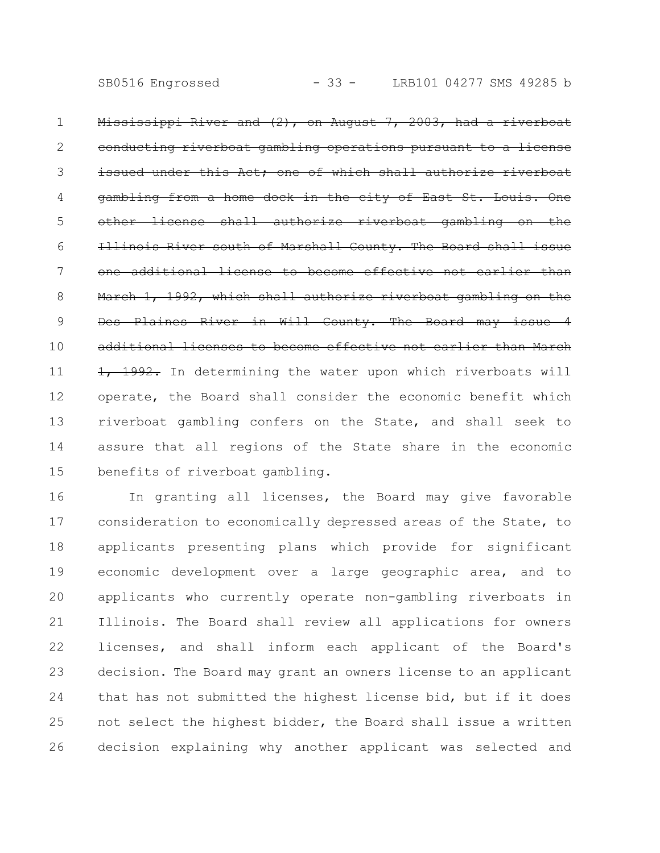Mississippi River and (2), on August 7, 2003, had a riverboat conducting riverboat gambling operations pursuant to a license issued under this Act; one of which shall authorize riverboat gambling from a home dock in the city of East shall authorize riverboat gambling Illinois River south of Marshall County. The Board shall issue one additional license to become effective not earlier than March 1, 1992, which shall authorize riverboat gambling Des Plaines River in Will County. The Board may issue 4 additional licenses to become effective not earlier than March 1, 1992. In determining the water upon which riverboats will operate, the Board shall consider the economic benefit which riverboat gambling confers on the State, and shall seek to assure that all regions of the State share in the economic benefits of riverboat gambling. 1 2 3 4 5 6 7 8 9 10 11 12 13 14 15

In granting all licenses, the Board may give favorable consideration to economically depressed areas of the State, to applicants presenting plans which provide for significant economic development over a large geographic area, and to applicants who currently operate non-gambling riverboats in Illinois. The Board shall review all applications for owners licenses, and shall inform each applicant of the Board's decision. The Board may grant an owners license to an applicant that has not submitted the highest license bid, but if it does not select the highest bidder, the Board shall issue a written decision explaining why another applicant was selected and 16 17 18 19 20 21 22 23 24 25 26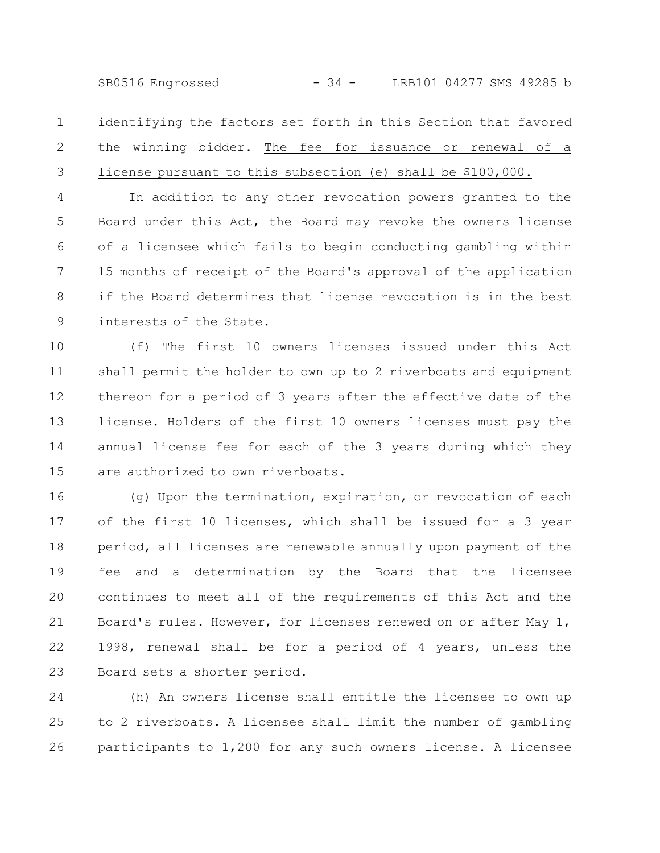SB0516 Engrossed - 34 - LRB101 04277 SMS 49285 b

identifying the factors set forth in this Section that favored the winning bidder. The fee for issuance or renewal of a license pursuant to this subsection (e) shall be \$100,000. 1 2 3

In addition to any other revocation powers granted to the Board under this Act, the Board may revoke the owners license of a licensee which fails to begin conducting gambling within 15 months of receipt of the Board's approval of the application if the Board determines that license revocation is in the best interests of the State. 4 5 6 7 8 9

(f) The first 10 owners licenses issued under this Act shall permit the holder to own up to 2 riverboats and equipment thereon for a period of 3 years after the effective date of the license. Holders of the first 10 owners licenses must pay the annual license fee for each of the 3 years during which they are authorized to own riverboats. 10 11 12 13 14 15

(g) Upon the termination, expiration, or revocation of each of the first 10 licenses, which shall be issued for a 3 year period, all licenses are renewable annually upon payment of the fee and a determination by the Board that the licensee continues to meet all of the requirements of this Act and the Board's rules. However, for licenses renewed on or after May 1, 1998, renewal shall be for a period of 4 years, unless the Board sets a shorter period. 16 17 18 19 20 21 22 23

(h) An owners license shall entitle the licensee to own up to 2 riverboats. A licensee shall limit the number of gambling participants to 1,200 for any such owners license. A licensee 24 25 26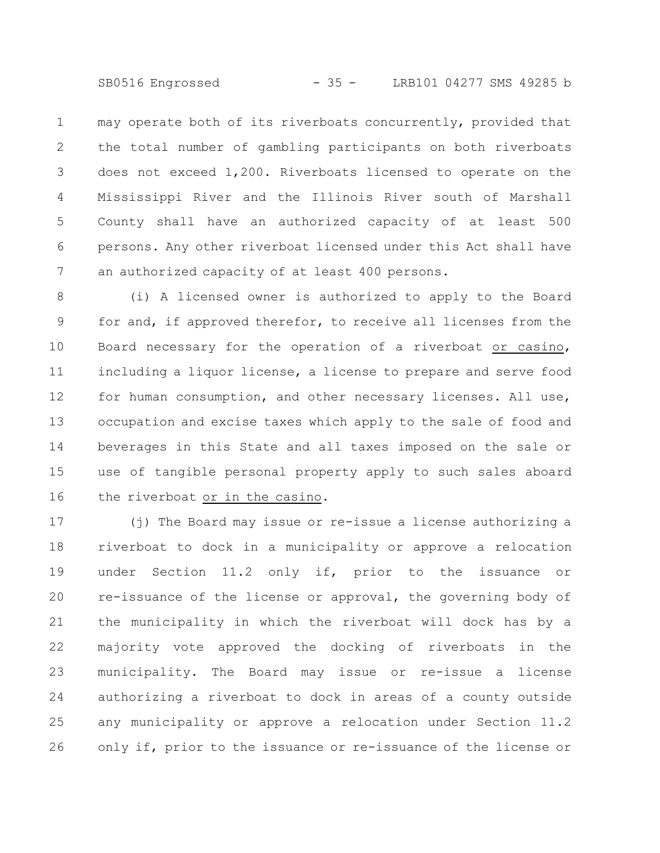SB0516 Engrossed - 35 - LRB101 04277 SMS 49285 b

may operate both of its riverboats concurrently, provided that the total number of gambling participants on both riverboats does not exceed 1,200. Riverboats licensed to operate on the Mississippi River and the Illinois River south of Marshall County shall have an authorized capacity of at least 500 persons. Any other riverboat licensed under this Act shall have an authorized capacity of at least 400 persons. 1 2 3 4 5 6 7

(i) A licensed owner is authorized to apply to the Board for and, if approved therefor, to receive all licenses from the Board necessary for the operation of a riverboat or casino, including a liquor license, a license to prepare and serve food for human consumption, and other necessary licenses. All use, occupation and excise taxes which apply to the sale of food and beverages in this State and all taxes imposed on the sale or use of tangible personal property apply to such sales aboard the riverboat or in the casino. 8 9 10 11 12 13 14 15 16

(j) The Board may issue or re-issue a license authorizing a riverboat to dock in a municipality or approve a relocation under Section 11.2 only if, prior to the issuance or re-issuance of the license or approval, the governing body of the municipality in which the riverboat will dock has by a majority vote approved the docking of riverboats in the municipality. The Board may issue or re-issue a license authorizing a riverboat to dock in areas of a county outside any municipality or approve a relocation under Section 11.2 only if, prior to the issuance or re-issuance of the license or 17 18 19 20 21 22 23 24 25 26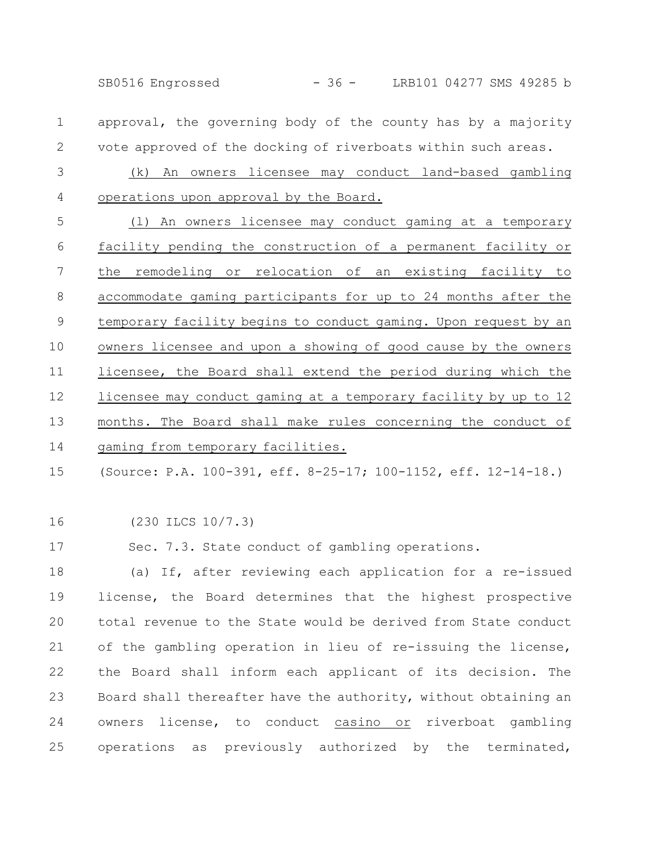SB0516 Engrossed - 36 - LRB101 04277 SMS 49285 b

- approval, the governing body of the county has by a majority vote approved of the docking of riverboats within such areas. 1 2
- (k) An owners licensee may conduct land-based gambling operations upon approval by the Board. 3 4
- (l) An owners licensee may conduct gaming at a temporary facility pending the construction of a permanent facility or the remodeling or relocation of an existing facility to accommodate gaming participants for up to 24 months after the temporary facility begins to conduct gaming. Upon request by an owners licensee and upon a showing of good cause by the owners licensee, the Board shall extend the period during which the licensee may conduct gaming at a temporary facility by up to 12 months. The Board shall make rules concerning the conduct of gaming from temporary facilities. 5 6 7 8 9 10 11 12 13 14
- (Source: P.A. 100-391, eff. 8-25-17; 100-1152, eff. 12-14-18.) 15
- 16

(230 ILCS 10/7.3)

Sec. 7.3. State conduct of gambling operations. 17

(a) If, after reviewing each application for a re-issued license, the Board determines that the highest prospective total revenue to the State would be derived from State conduct of the gambling operation in lieu of re-issuing the license, the Board shall inform each applicant of its decision. The Board shall thereafter have the authority, without obtaining an owners license, to conduct casino or riverboat gambling operations as previously authorized by the terminated, 18 19 20 21 22 23 24 25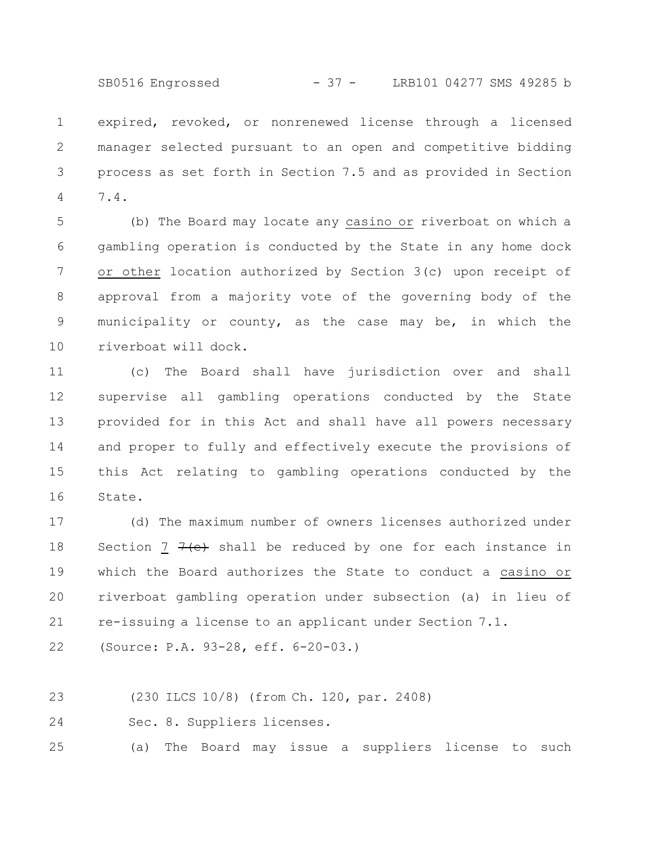SB0516 Engrossed - 37 - LRB101 04277 SMS 49285 b

expired, revoked, or nonrenewed license through a licensed manager selected pursuant to an open and competitive bidding process as set forth in Section 7.5 and as provided in Section 7.4. 1 2 3 4

(b) The Board may locate any casino or riverboat on which a gambling operation is conducted by the State in any home dock or other location authorized by Section 3(c) upon receipt of approval from a majority vote of the governing body of the municipality or county, as the case may be, in which the riverboat will dock. 5 6 7 8 9 10

(c) The Board shall have jurisdiction over and shall supervise all gambling operations conducted by the State provided for in this Act and shall have all powers necessary and proper to fully and effectively execute the provisions of this Act relating to gambling operations conducted by the State. 11 12 13 14 15 16

(d) The maximum number of owners licenses authorized under Section 7  $7$  (e) shall be reduced by one for each instance in which the Board authorizes the State to conduct a casino or riverboat gambling operation under subsection (a) in lieu of re-issuing a license to an applicant under Section 7.1. 17 18 19 20 21

(Source: P.A. 93-28, eff. 6-20-03.) 22

(230 ILCS 10/8) (from Ch. 120, par. 2408) 23

Sec. 8. Suppliers licenses. 24

(a) The Board may issue a suppliers license to such 25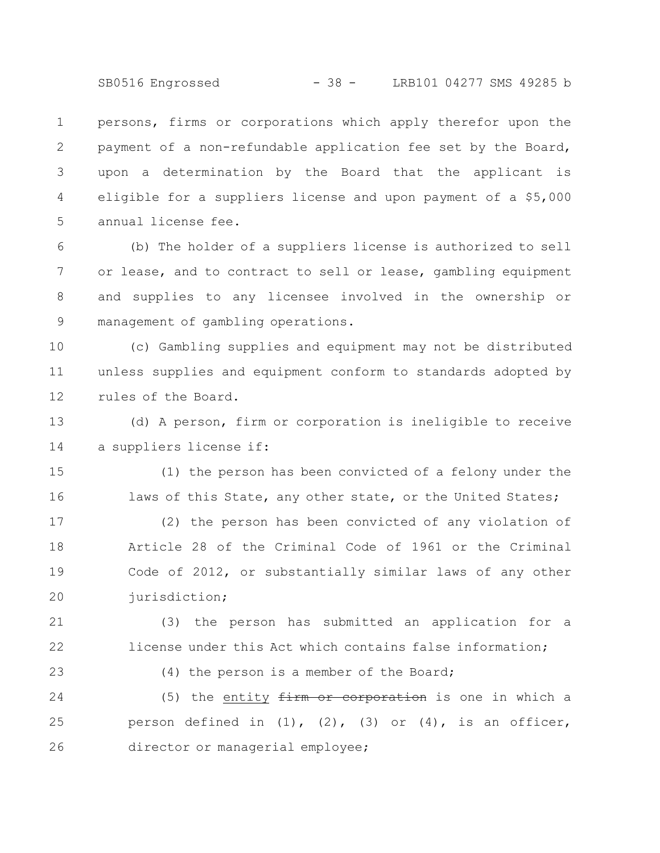SB0516 Engrossed - 38 - LRB101 04277 SMS 49285 b

persons, firms or corporations which apply therefor upon the payment of a non-refundable application fee set by the Board, upon a determination by the Board that the applicant is eligible for a suppliers license and upon payment of a \$5,000 annual license fee. 1 2 3 4 5

(b) The holder of a suppliers license is authorized to sell or lease, and to contract to sell or lease, gambling equipment and supplies to any licensee involved in the ownership or management of gambling operations. 6 7 8 9

(c) Gambling supplies and equipment may not be distributed unless supplies and equipment conform to standards adopted by rules of the Board. 10 11 12

(d) A person, firm or corporation is ineligible to receive a suppliers license if: 13 14

(1) the person has been convicted of a felony under the laws of this State, any other state, or the United States; 15 16

(2) the person has been convicted of any violation of Article 28 of the Criminal Code of 1961 or the Criminal Code of 2012, or substantially similar laws of any other jurisdiction; 17 18 19 20

(3) the person has submitted an application for a license under this Act which contains false information; 21 22

(4) the person is a member of the Board;

23

(5) the entity  $f{irm}$  or corporation is one in which a person defined in  $(1)$ ,  $(2)$ ,  $(3)$  or  $(4)$ , is an officer, director or managerial employee; 24 25 26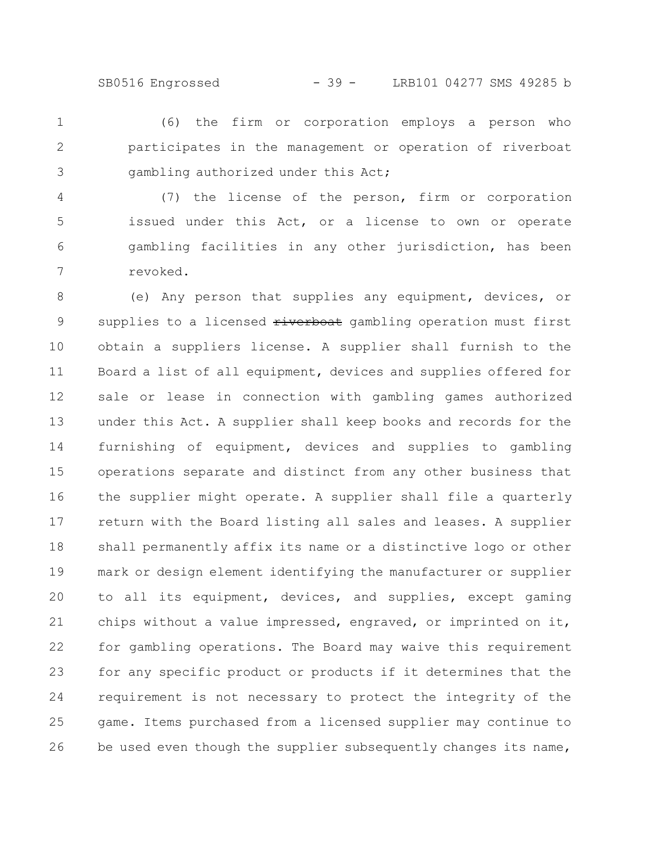SB0516 Engrossed - 39 - LRB101 04277 SMS 49285 b

(6) the firm or corporation employs a person who participates in the management or operation of riverboat gambling authorized under this Act; 1 2 3

(7) the license of the person, firm or corporation issued under this Act, or a license to own or operate gambling facilities in any other jurisdiction, has been revoked. 4 5 6 7

(e) Any person that supplies any equipment, devices, or supplies to a licensed riverboat gambling operation must first obtain a suppliers license. A supplier shall furnish to the Board a list of all equipment, devices and supplies offered for sale or lease in connection with gambling games authorized under this Act. A supplier shall keep books and records for the furnishing of equipment, devices and supplies to gambling operations separate and distinct from any other business that the supplier might operate. A supplier shall file a quarterly return with the Board listing all sales and leases. A supplier shall permanently affix its name or a distinctive logo or other mark or design element identifying the manufacturer or supplier to all its equipment, devices, and supplies, except gaming chips without a value impressed, engraved, or imprinted on it, for gambling operations. The Board may waive this requirement for any specific product or products if it determines that the requirement is not necessary to protect the integrity of the game. Items purchased from a licensed supplier may continue to be used even though the supplier subsequently changes its name, 8 9 10 11 12 13 14 15 16 17 18 19 20 21 22 23 24 25 26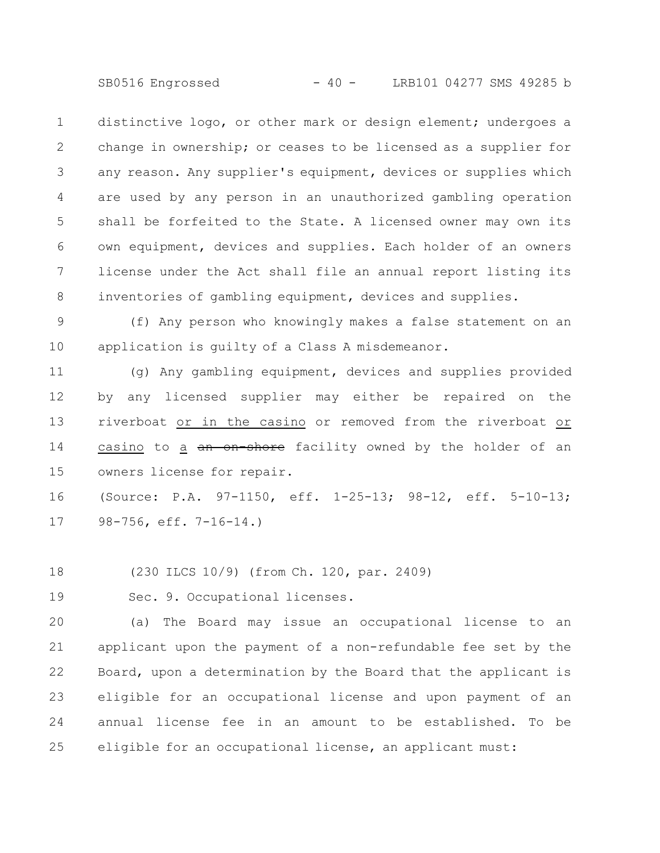SB0516 Engrossed - 40 - LRB101 04277 SMS 49285 b

distinctive logo, or other mark or design element; undergoes a change in ownership; or ceases to be licensed as a supplier for any reason. Any supplier's equipment, devices or supplies which are used by any person in an unauthorized gambling operation shall be forfeited to the State. A licensed owner may own its own equipment, devices and supplies. Each holder of an owners license under the Act shall file an annual report listing its inventories of gambling equipment, devices and supplies. 1 2 3 4 5 6 7 8

(f) Any person who knowingly makes a false statement on an application is guilty of a Class A misdemeanor. 9 10

(g) Any gambling equipment, devices and supplies provided by any licensed supplier may either be repaired on the riverboat or in the casino or removed from the riverboat or casino to a an on-shore facility owned by the holder of an owners license for repair. 11 12 13 14 15

(Source: P.A. 97-1150, eff. 1-25-13; 98-12, eff. 5-10-13; 98-756, eff. 7-16-14.) 16 17

(230 ILCS 10/9) (from Ch. 120, par. 2409) 18

Sec. 9. Occupational licenses. 19

(a) The Board may issue an occupational license to an applicant upon the payment of a non-refundable fee set by the Board, upon a determination by the Board that the applicant is eligible for an occupational license and upon payment of an annual license fee in an amount to be established. To be eligible for an occupational license, an applicant must: 20 21 22 23 24 25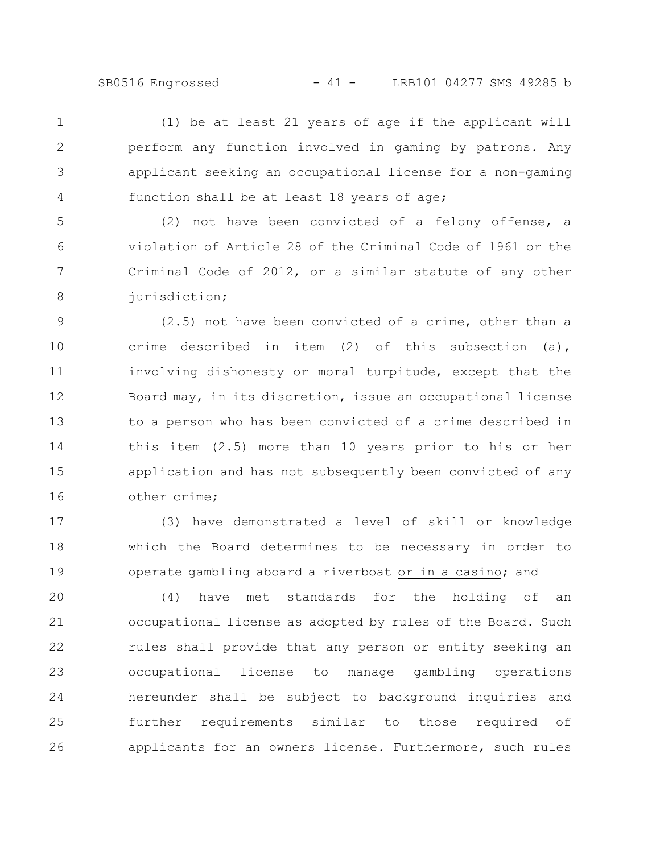(1) be at least 21 years of age if the applicant will perform any function involved in gaming by patrons. Any applicant seeking an occupational license for a non-gaming function shall be at least 18 years of age; 1 2 3 4

(2) not have been convicted of a felony offense, a violation of Article 28 of the Criminal Code of 1961 or the Criminal Code of 2012, or a similar statute of any other jurisdiction; 5 6 7 8

(2.5) not have been convicted of a crime, other than a crime described in item (2) of this subsection (a), involving dishonesty or moral turpitude, except that the Board may, in its discretion, issue an occupational license to a person who has been convicted of a crime described in this item (2.5) more than 10 years prior to his or her application and has not subsequently been convicted of any other crime; 9 10 11 12 13 14 15 16

(3) have demonstrated a level of skill or knowledge which the Board determines to be necessary in order to operate gambling aboard a riverboat or in a casino; and 17 18 19

(4) have met standards for the holding of an occupational license as adopted by rules of the Board. Such rules shall provide that any person or entity seeking an occupational license to manage gambling operations hereunder shall be subject to background inquiries and further requirements similar to those required of applicants for an owners license. Furthermore, such rules 20 21 22 23 24 25 26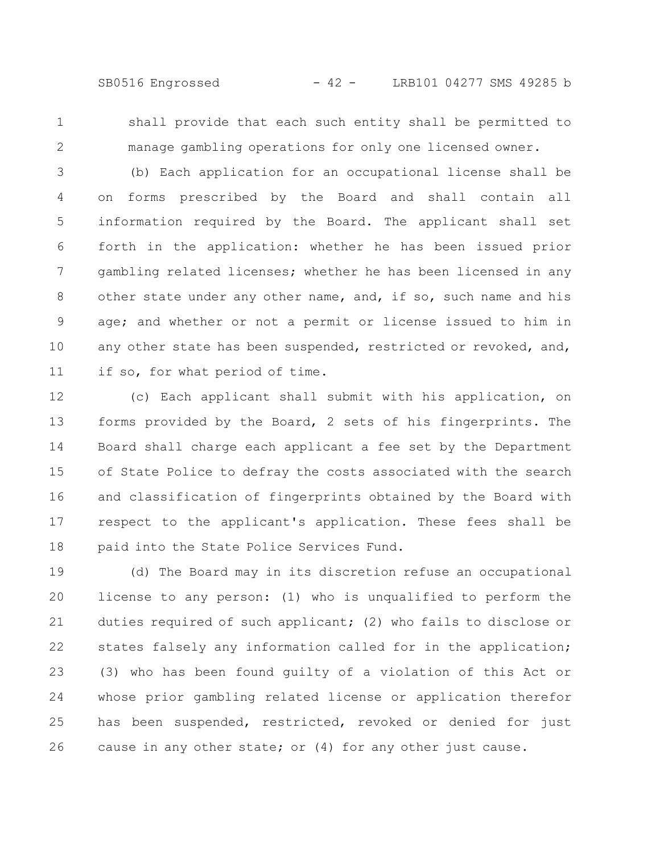SB0516 Engrossed - 42 - LRB101 04277 SMS 49285 b

1 2

shall provide that each such entity shall be permitted to manage gambling operations for only one licensed owner.

(b) Each application for an occupational license shall be on forms prescribed by the Board and shall contain all information required by the Board. The applicant shall set forth in the application: whether he has been issued prior gambling related licenses; whether he has been licensed in any other state under any other name, and, if so, such name and his age; and whether or not a permit or license issued to him in any other state has been suspended, restricted or revoked, and, if so, for what period of time. 3 4 5 6 7 8 9 10 11

(c) Each applicant shall submit with his application, on forms provided by the Board, 2 sets of his fingerprints. The Board shall charge each applicant a fee set by the Department of State Police to defray the costs associated with the search and classification of fingerprints obtained by the Board with respect to the applicant's application. These fees shall be paid into the State Police Services Fund. 12 13 14 15 16 17 18

(d) The Board may in its discretion refuse an occupational license to any person: (1) who is unqualified to perform the duties required of such applicant; (2) who fails to disclose or states falsely any information called for in the application; (3) who has been found guilty of a violation of this Act or whose prior gambling related license or application therefor has been suspended, restricted, revoked or denied for just cause in any other state; or (4) for any other just cause. 19 20 21 22 23 24 25 26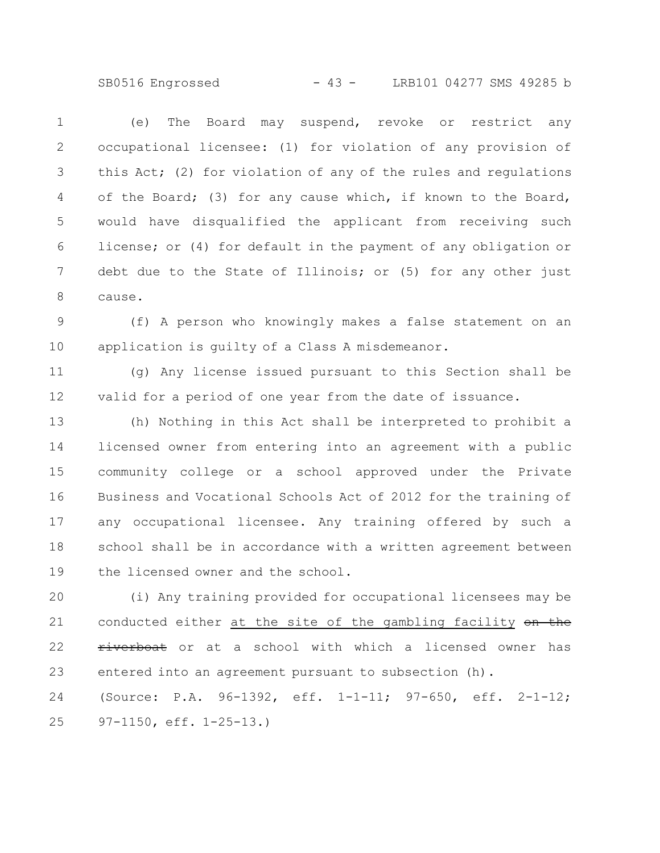SB0516 Engrossed - 43 - LRB101 04277 SMS 49285 b

(e) The Board may suspend, revoke or restrict any occupational licensee: (1) for violation of any provision of this Act; (2) for violation of any of the rules and regulations of the Board; (3) for any cause which, if known to the Board, would have disqualified the applicant from receiving such license; or (4) for default in the payment of any obligation or debt due to the State of Illinois; or (5) for any other just cause. 1 2 3 4 5 6 7 8

(f) A person who knowingly makes a false statement on an application is guilty of a Class A misdemeanor. 9 10

(g) Any license issued pursuant to this Section shall be valid for a period of one year from the date of issuance. 11 12

(h) Nothing in this Act shall be interpreted to prohibit a licensed owner from entering into an agreement with a public community college or a school approved under the Private Business and Vocational Schools Act of 2012 for the training of any occupational licensee. Any training offered by such a school shall be in accordance with a written agreement between the licensed owner and the school. 13 14 15 16 17 18 19

(i) Any training provided for occupational licensees may be conducted either at the site of the gambling facility on the riverboat or at a school with which a licensed owner has entered into an agreement pursuant to subsection (h). (Source: P.A. 96-1392, eff. 1-1-11; 97-650, eff. 2-1-12; 97-1150, eff. 1-25-13.) 20 21 22 23 24 25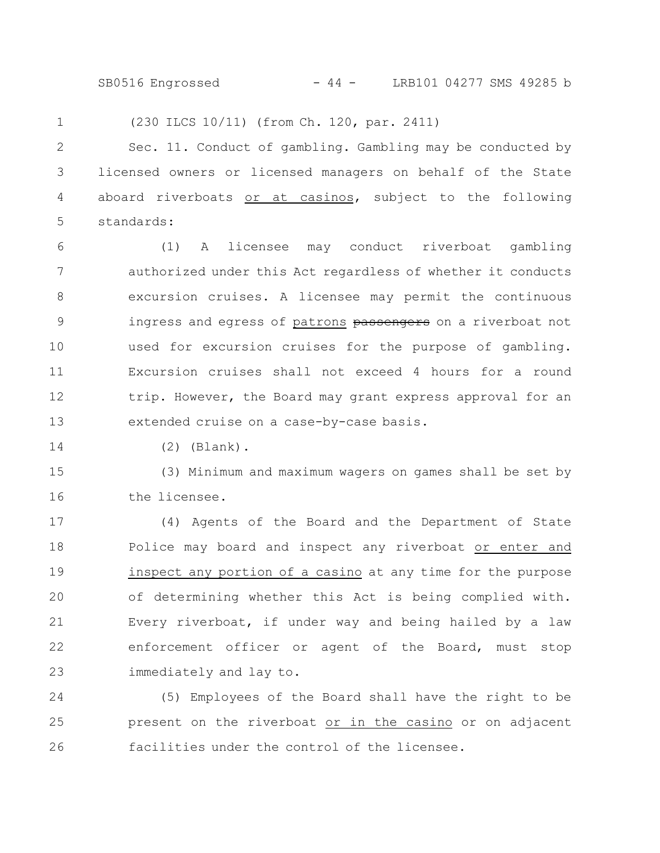SB0516 Engrossed - 44 - LRB101 04277 SMS 49285 b

(230 ILCS 10/11) (from Ch. 120, par. 2411) 1

Sec. 11. Conduct of gambling. Gambling may be conducted by licensed owners or licensed managers on behalf of the State aboard riverboats or at casinos, subject to the following standards: 2 3 4 5

(1) A licensee may conduct riverboat gambling authorized under this Act regardless of whether it conducts excursion cruises. A licensee may permit the continuous ingress and egress of patrons passengers on a riverboat not used for excursion cruises for the purpose of gambling. Excursion cruises shall not exceed 4 hours for a round trip. However, the Board may grant express approval for an extended cruise on a case-by-case basis. 6 7 8 9 10 11 12 13

14

(2) (Blank).

(3) Minimum and maximum wagers on games shall be set by the licensee. 15 16

(4) Agents of the Board and the Department of State Police may board and inspect any riverboat or enter and inspect any portion of a casino at any time for the purpose of determining whether this Act is being complied with. Every riverboat, if under way and being hailed by a law enforcement officer or agent of the Board, must stop immediately and lay to. 17 18 19 20 21 22 23

(5) Employees of the Board shall have the right to be present on the riverboat or in the casino or on adjacent facilities under the control of the licensee. 24 25 26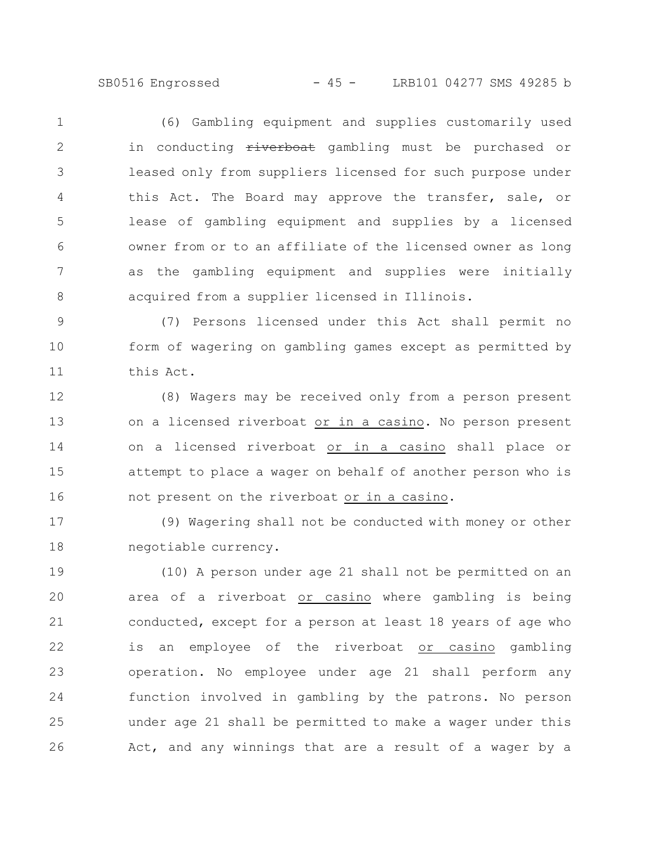SB0516 Engrossed - 45 - LRB101 04277 SMS 49285 b

(6) Gambling equipment and supplies customarily used in conducting  $\frac{r}{r}$  iverboat gambling must be purchased or leased only from suppliers licensed for such purpose under this Act. The Board may approve the transfer, sale, or lease of gambling equipment and supplies by a licensed owner from or to an affiliate of the licensed owner as long as the gambling equipment and supplies were initially acquired from a supplier licensed in Illinois. 1 2 3 4 5 6 7 8

(7) Persons licensed under this Act shall permit no form of wagering on gambling games except as permitted by this Act. 9 10 11

(8) Wagers may be received only from a person present on a licensed riverboat or in a casino. No person present on a licensed riverboat or in a casino shall place or attempt to place a wager on behalf of another person who is not present on the riverboat or in a casino. 12 13 14 15 16

(9) Wagering shall not be conducted with money or other negotiable currency. 17 18

(10) A person under age 21 shall not be permitted on an area of a riverboat or casino where gambling is being conducted, except for a person at least 18 years of age who is an employee of the riverboat or casino gambling operation. No employee under age 21 shall perform any function involved in gambling by the patrons. No person under age 21 shall be permitted to make a wager under this Act, and any winnings that are a result of a wager by a 19 20 21 22 23 24 25 26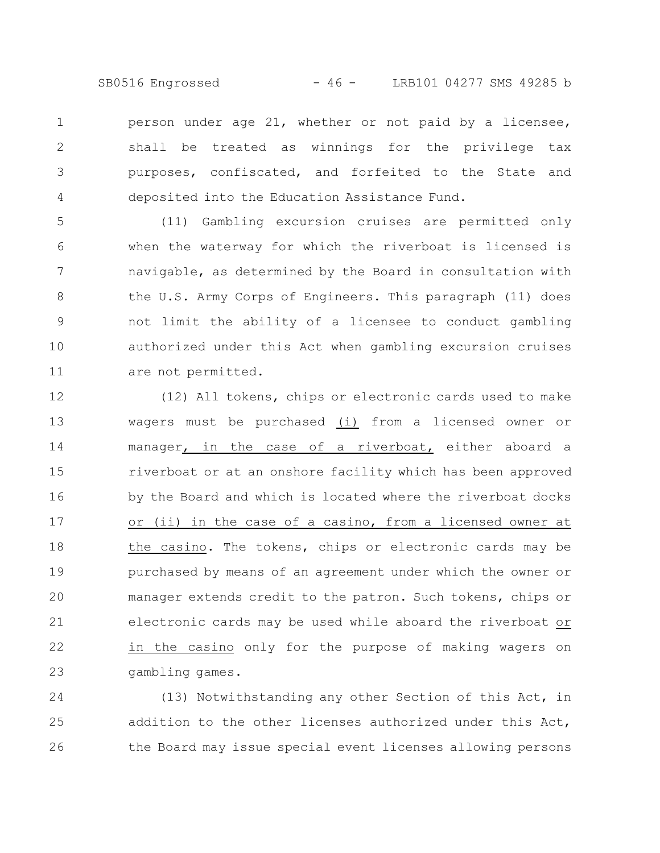SB0516 Engrossed - 46 - LRB101 04277 SMS 49285 b

person under age 21, whether or not paid by a licensee, shall be treated as winnings for the privilege tax purposes, confiscated, and forfeited to the State and deposited into the Education Assistance Fund. 1 2 3 4

(11) Gambling excursion cruises are permitted only when the waterway for which the riverboat is licensed is navigable, as determined by the Board in consultation with the U.S. Army Corps of Engineers. This paragraph (11) does not limit the ability of a licensee to conduct gambling authorized under this Act when gambling excursion cruises are not permitted. 5 6 7 8 9 10 11

(12) All tokens, chips or electronic cards used to make wagers must be purchased (i) from a licensed owner or manager, in the case of a riverboat, either aboard a riverboat or at an onshore facility which has been approved by the Board and which is located where the riverboat docks or (ii) in the case of a casino, from a licensed owner at the casino. The tokens, chips or electronic cards may be purchased by means of an agreement under which the owner or manager extends credit to the patron. Such tokens, chips or electronic cards may be used while aboard the riverboat or in the casino only for the purpose of making wagers on gambling games. 12 13 14 15 16 17 18 19 20 21 22 23

(13) Notwithstanding any other Section of this Act, in addition to the other licenses authorized under this Act, the Board may issue special event licenses allowing persons 24 25 26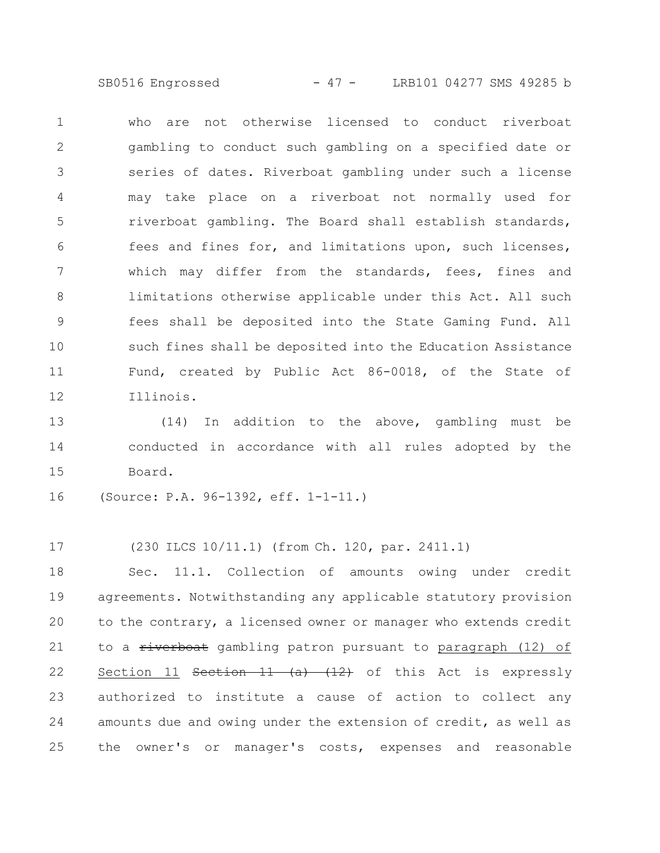SB0516 Engrossed - 47 - LRB101 04277 SMS 49285 b

who are not otherwise licensed to conduct riverboat gambling to conduct such gambling on a specified date or series of dates. Riverboat gambling under such a license may take place on a riverboat not normally used for riverboat gambling. The Board shall establish standards, fees and fines for, and limitations upon, such licenses, which may differ from the standards, fees, fines and limitations otherwise applicable under this Act. All such fees shall be deposited into the State Gaming Fund. All such fines shall be deposited into the Education Assistance Fund, created by Public Act 86-0018, of the State of Illinois. 1 2 3 4 5 6 7 8 9 10 11 12

(14) In addition to the above, gambling must be conducted in accordance with all rules adopted by the Board. 13 14 15

(Source: P.A. 96-1392, eff. 1-1-11.) 16

(230 ILCS 10/11.1) (from Ch. 120, par. 2411.1) 17

Sec. 11.1. Collection of amounts owing under credit agreements. Notwithstanding any applicable statutory provision to the contrary, a licensed owner or manager who extends credit to a riverboat gambling patron pursuant to paragraph (12) of Section 11 Section 11  $(a)$   $(12)$  of this Act is expressly authorized to institute a cause of action to collect any amounts due and owing under the extension of credit, as well as the owner's or manager's costs, expenses and reasonable 18 19 20 21 22 23 24 25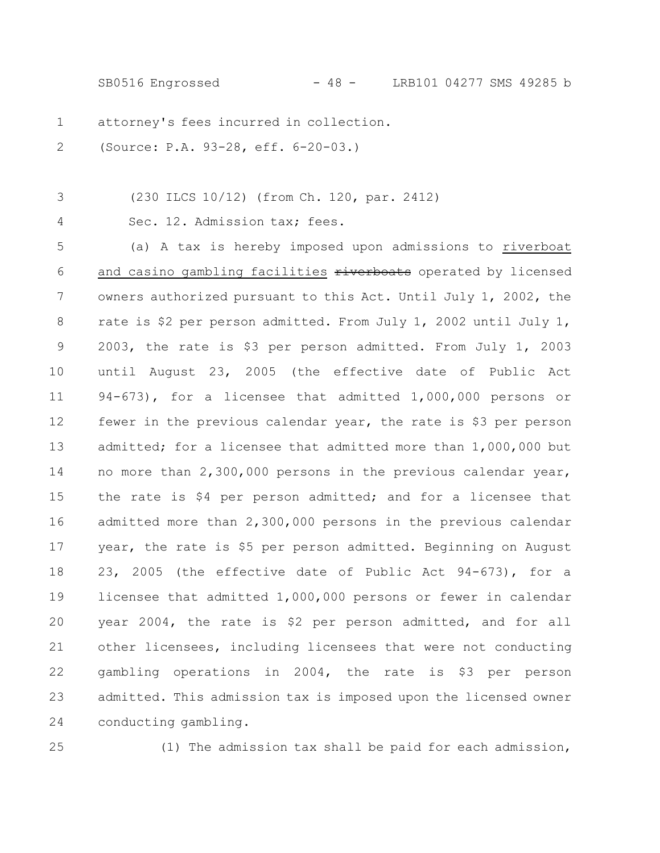SB0516 Engrossed - 48 - LRB101 04277 SMS 49285 b

attorney's fees incurred in collection. 1

(Source: P.A. 93-28, eff. 6-20-03.) 2

(230 ILCS 10/12) (from Ch. 120, par. 2412) 3

4

Sec. 12. Admission tax; fees.

(a) A tax is hereby imposed upon admissions to riverboat and casino gambling facilities riverboats operated by licensed owners authorized pursuant to this Act. Until July 1, 2002, the rate is \$2 per person admitted. From July 1, 2002 until July 1, 2003, the rate is \$3 per person admitted. From July 1, 2003 until August 23, 2005 (the effective date of Public Act 94-673), for a licensee that admitted 1,000,000 persons or fewer in the previous calendar year, the rate is \$3 per person admitted; for a licensee that admitted more than 1,000,000 but no more than 2,300,000 persons in the previous calendar year, the rate is \$4 per person admitted; and for a licensee that admitted more than 2,300,000 persons in the previous calendar year, the rate is \$5 per person admitted. Beginning on August 23, 2005 (the effective date of Public Act 94-673), for a licensee that admitted 1,000,000 persons or fewer in calendar year 2004, the rate is \$2 per person admitted, and for all other licensees, including licensees that were not conducting gambling operations in 2004, the rate is \$3 per person admitted. This admission tax is imposed upon the licensed owner conducting gambling. 5 6 7 8 9 10 11 12 13 14 15 16 17 18 19 20 21 22 23 24

25

(1) The admission tax shall be paid for each admission,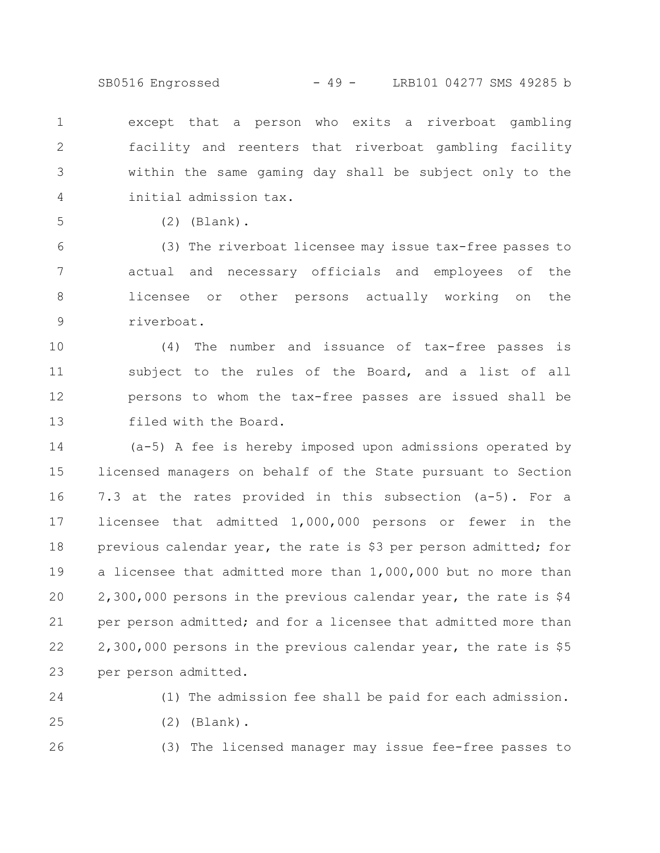SB0516 Engrossed - 49 - LRB101 04277 SMS 49285 b

except that a person who exits a riverboat gambling facility and reenters that riverboat gambling facility within the same gaming day shall be subject only to the initial admission tax. 1 2 3 4

5

(2) (Blank).

(3) The riverboat licensee may issue tax-free passes to actual and necessary officials and employees of the licensee or other persons actually working on the riverboat. 6 7 8 9

(4) The number and issuance of tax-free passes is subject to the rules of the Board, and a list of all persons to whom the tax-free passes are issued shall be filed with the Board. 10 11 12 13

(a-5) A fee is hereby imposed upon admissions operated by licensed managers on behalf of the State pursuant to Section 7.3 at the rates provided in this subsection (a-5). For a licensee that admitted 1,000,000 persons or fewer in the previous calendar year, the rate is \$3 per person admitted; for a licensee that admitted more than 1,000,000 but no more than 2,300,000 persons in the previous calendar year, the rate is \$4 per person admitted; and for a licensee that admitted more than 2,300,000 persons in the previous calendar year, the rate is \$5 per person admitted. 14 15 16 17 18 19 20 21 22 23

24 25

26

(2) (Blank).

(3) The licensed manager may issue fee-free passes to

(1) The admission fee shall be paid for each admission.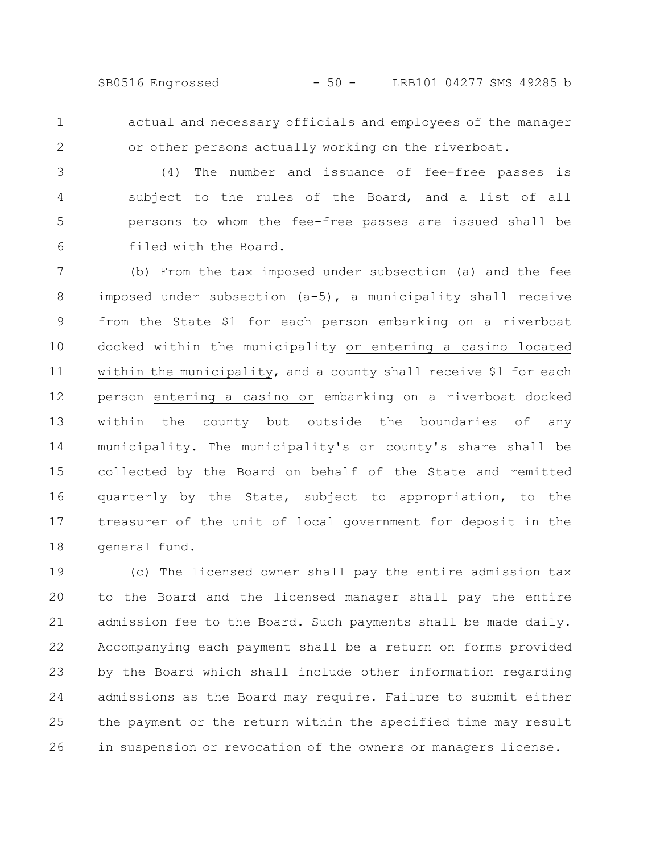SB0516 Engrossed - 50 - LRB101 04277 SMS 49285 b

actual and necessary officials and employees of the manager or other persons actually working on the riverboat. 1 2

(4) The number and issuance of fee-free passes is subject to the rules of the Board, and a list of all persons to whom the fee-free passes are issued shall be filed with the Board. 3 4 5 6

(b) From the tax imposed under subsection (a) and the fee imposed under subsection (a-5), a municipality shall receive from the State \$1 for each person embarking on a riverboat docked within the municipality or entering a casino located within the municipality, and a county shall receive \$1 for each person entering a casino or embarking on a riverboat docked within the county but outside the boundaries of any municipality. The municipality's or county's share shall be collected by the Board on behalf of the State and remitted quarterly by the State, subject to appropriation, to the treasurer of the unit of local government for deposit in the general fund. 7 8 9 10 11 12 13 14 15 16 17 18

(c) The licensed owner shall pay the entire admission tax to the Board and the licensed manager shall pay the entire admission fee to the Board. Such payments shall be made daily. Accompanying each payment shall be a return on forms provided by the Board which shall include other information regarding admissions as the Board may require. Failure to submit either the payment or the return within the specified time may result in suspension or revocation of the owners or managers license. 19 20 21 22 23 24 25 26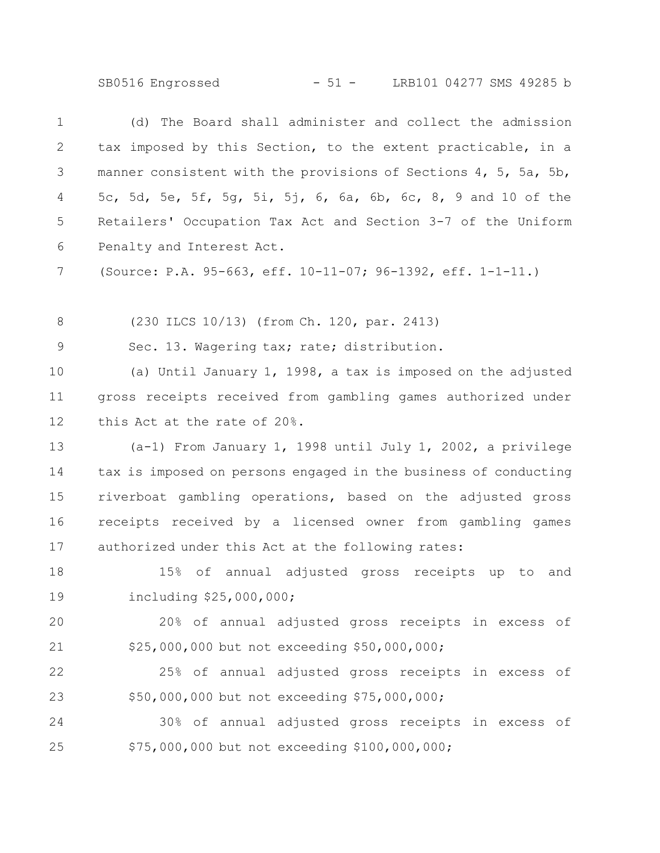SB0516 Engrossed - 51 - LRB101 04277 SMS 49285 b

(d) The Board shall administer and collect the admission tax imposed by this Section, to the extent practicable, in a manner consistent with the provisions of Sections 4, 5, 5a, 5b, 5c, 5d, 5e, 5f, 5g, 5i, 5j, 6, 6a, 6b, 6c, 8, 9 and 10 of the Retailers' Occupation Tax Act and Section 3-7 of the Uniform Penalty and Interest Act. 1 2 3 4 5 6

(Source: P.A. 95-663, eff. 10-11-07; 96-1392, eff. 1-1-11.) 7

(230 ILCS 10/13) (from Ch. 120, par. 2413) 8

Sec. 13. Wagering tax; rate; distribution. 9

(a) Until January 1, 1998, a tax is imposed on the adjusted gross receipts received from gambling games authorized under this Act at the rate of 20%. 10 11 12

(a-1) From January 1, 1998 until July 1, 2002, a privilege tax is imposed on persons engaged in the business of conducting riverboat gambling operations, based on the adjusted gross receipts received by a licensed owner from gambling games authorized under this Act at the following rates: 13 14 15 16 17

15% of annual adjusted gross receipts up to and including \$25,000,000; 18 19

20% of annual adjusted gross receipts in excess of \$25,000,000 but not exceeding \$50,000,000; 20 21

25% of annual adjusted gross receipts in excess of \$50,000,000 but not exceeding \$75,000,000; 22 23

30% of annual adjusted gross receipts in excess of \$75,000,000 but not exceeding \$100,000,000; 24 25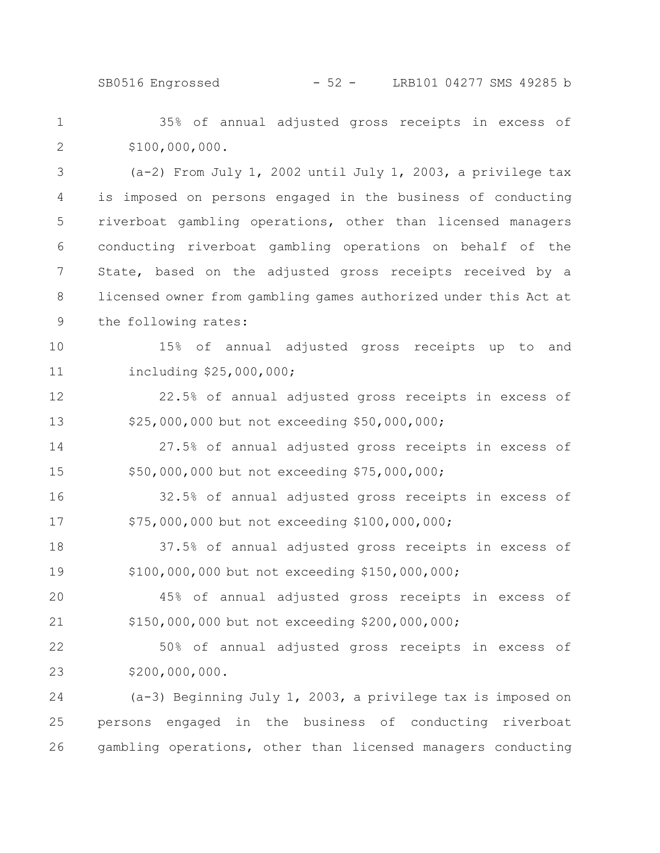SB0516 Engrossed - 52 - LRB101 04277 SMS 49285 b

35% of annual adjusted gross receipts in excess of \$100,000,000. 1 2

(a-2) From July 1, 2002 until July 1, 2003, a privilege tax is imposed on persons engaged in the business of conducting riverboat gambling operations, other than licensed managers conducting riverboat gambling operations on behalf of the State, based on the adjusted gross receipts received by a licensed owner from gambling games authorized under this Act at the following rates: 3 4 5 6 7 8 9

15% of annual adjusted gross receipts up to and including \$25,000,000; 10 11

22.5% of annual adjusted gross receipts in excess of \$25,000,000 but not exceeding \$50,000,000; 12 13

27.5% of annual adjusted gross receipts in excess of \$50,000,000 but not exceeding \$75,000,000; 14 15

32.5% of annual adjusted gross receipts in excess of \$75,000,000 but not exceeding \$100,000,000; 16 17

37.5% of annual adjusted gross receipts in excess of \$100,000,000 but not exceeding \$150,000,000; 18 19

45% of annual adjusted gross receipts in excess of \$150,000,000 but not exceeding \$200,000,000; 20 21

50% of annual adjusted gross receipts in excess of \$200,000,000. 22 23

(a-3) Beginning July 1, 2003, a privilege tax is imposed on persons engaged in the business of conducting riverboat gambling operations, other than licensed managers conducting 24 25 26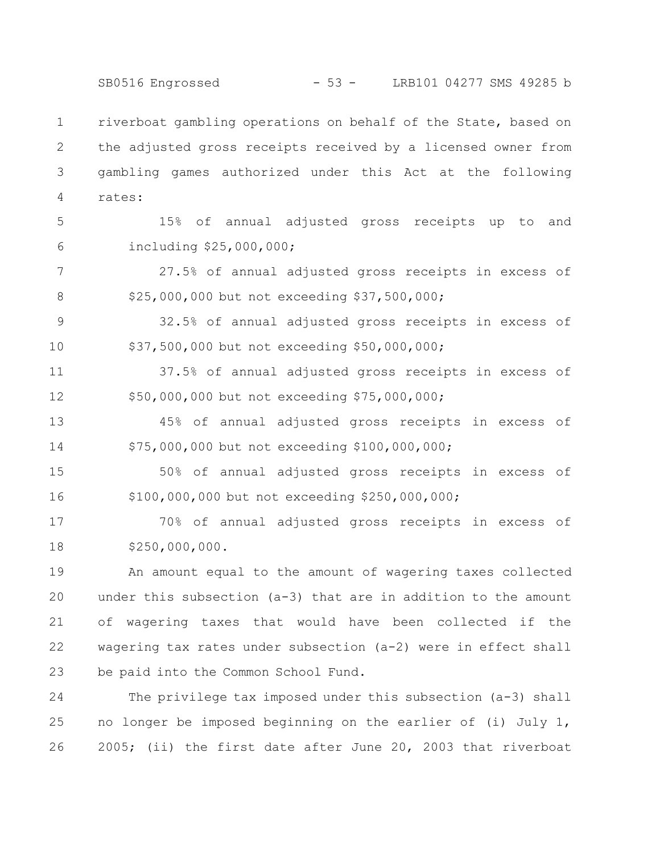SB0516 Engrossed - 53 - LRB101 04277 SMS 49285 b

riverboat gambling operations on behalf of the State, based on the adjusted gross receipts received by a licensed owner from gambling games authorized under this Act at the following rates: 1 2 3 4

5

6

15% of annual adjusted gross receipts up to and including \$25,000,000;

27.5% of annual adjusted gross receipts in excess of \$25,000,000 but not exceeding \$37,500,000; 7 8

32.5% of annual adjusted gross receipts in excess of \$37,500,000 but not exceeding \$50,000,000; 9 10

37.5% of annual adjusted gross receipts in excess of \$50,000,000 but not exceeding \$75,000,000; 11 12

45% of annual adjusted gross receipts in excess of \$75,000,000 but not exceeding \$100,000,000; 13 14

50% of annual adjusted gross receipts in excess of \$100,000,000 but not exceeding \$250,000,000; 15 16

70% of annual adjusted gross receipts in excess of \$250,000,000. 17 18

An amount equal to the amount of wagering taxes collected under this subsection (a-3) that are in addition to the amount of wagering taxes that would have been collected if the wagering tax rates under subsection (a-2) were in effect shall be paid into the Common School Fund. 19 20 21 22 23

The privilege tax imposed under this subsection (a-3) shall no longer be imposed beginning on the earlier of (i) July 1, 2005; (ii) the first date after June 20, 2003 that riverboat 24 25 26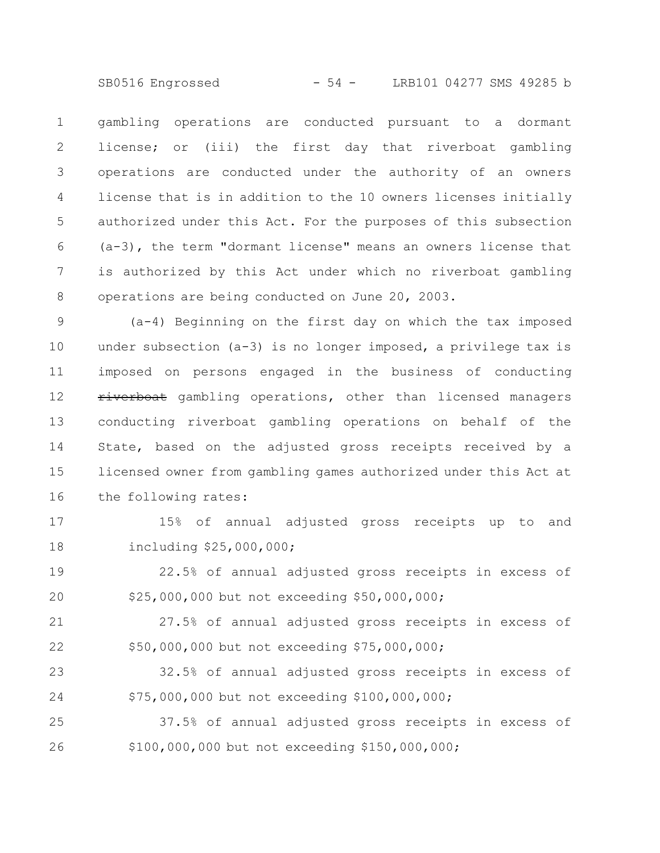SB0516 Engrossed - 54 - LRB101 04277 SMS 49285 b

gambling operations are conducted pursuant to a dormant license; or (iii) the first day that riverboat gambling operations are conducted under the authority of an owners license that is in addition to the 10 owners licenses initially authorized under this Act. For the purposes of this subsection (a-3), the term "dormant license" means an owners license that is authorized by this Act under which no riverboat gambling operations are being conducted on June 20, 2003. 1 2 3 4 5 6 7 8

(a-4) Beginning on the first day on which the tax imposed under subsection (a-3) is no longer imposed, a privilege tax is imposed on persons engaged in the business of conducting riverboat gambling operations, other than licensed managers conducting riverboat gambling operations on behalf of the State, based on the adjusted gross receipts received by a licensed owner from gambling games authorized under this Act at the following rates: 9 10 11 12 13 14 15 16

15% of annual adjusted gross receipts up to and including \$25,000,000; 17 18

22.5% of annual adjusted gross receipts in excess of \$25,000,000 but not exceeding \$50,000,000; 19 20

27.5% of annual adjusted gross receipts in excess of \$50,000,000 but not exceeding \$75,000,000; 21 22

32.5% of annual adjusted gross receipts in excess of \$75,000,000 but not exceeding \$100,000,000; 23 24

37.5% of annual adjusted gross receipts in excess of \$100,000,000 but not exceeding \$150,000,000; 25 26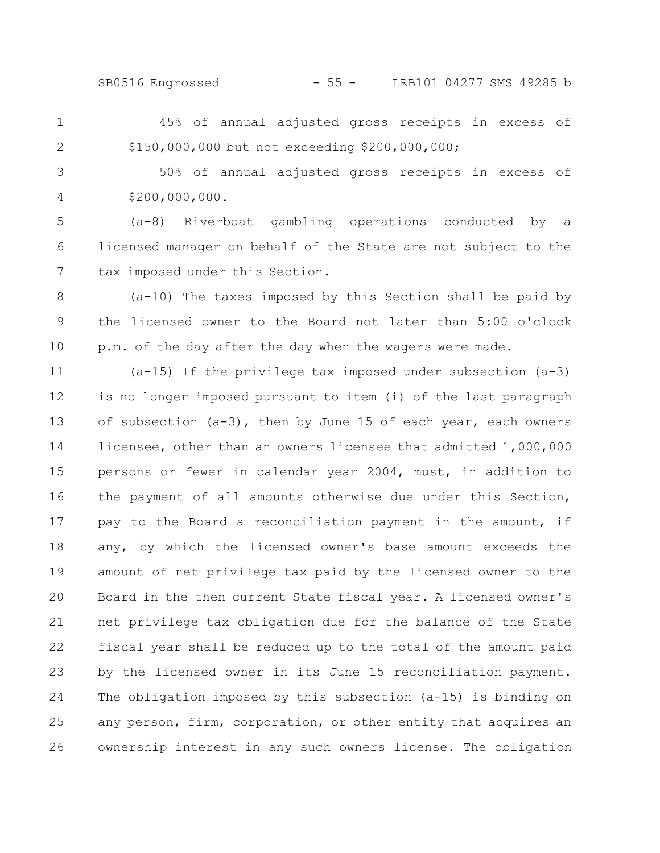SB0516 Engrossed - 55 - LRB101 04277 SMS 49285 b

45% of annual adjusted gross receipts in excess of \$150,000,000 but not exceeding \$200,000,000; 1 2

50% of annual adjusted gross receipts in excess of \$200,000,000. 3 4

(a-8) Riverboat gambling operations conducted by a licensed manager on behalf of the State are not subject to the tax imposed under this Section. 5 6 7

(a-10) The taxes imposed by this Section shall be paid by the licensed owner to the Board not later than 5:00 o'clock p.m. of the day after the day when the wagers were made. 8 9 10

(a-15) If the privilege tax imposed under subsection (a-3) is no longer imposed pursuant to item (i) of the last paragraph of subsection (a-3), then by June 15 of each year, each owners licensee, other than an owners licensee that admitted 1,000,000 persons or fewer in calendar year 2004, must, in addition to the payment of all amounts otherwise due under this Section, pay to the Board a reconciliation payment in the amount, if any, by which the licensed owner's base amount exceeds the amount of net privilege tax paid by the licensed owner to the Board in the then current State fiscal year. A licensed owner's net privilege tax obligation due for the balance of the State fiscal year shall be reduced up to the total of the amount paid by the licensed owner in its June 15 reconciliation payment. The obligation imposed by this subsection (a-15) is binding on any person, firm, corporation, or other entity that acquires an ownership interest in any such owners license. The obligation 11 12 13 14 15 16 17 18 19 20 21 22 23 24 25 26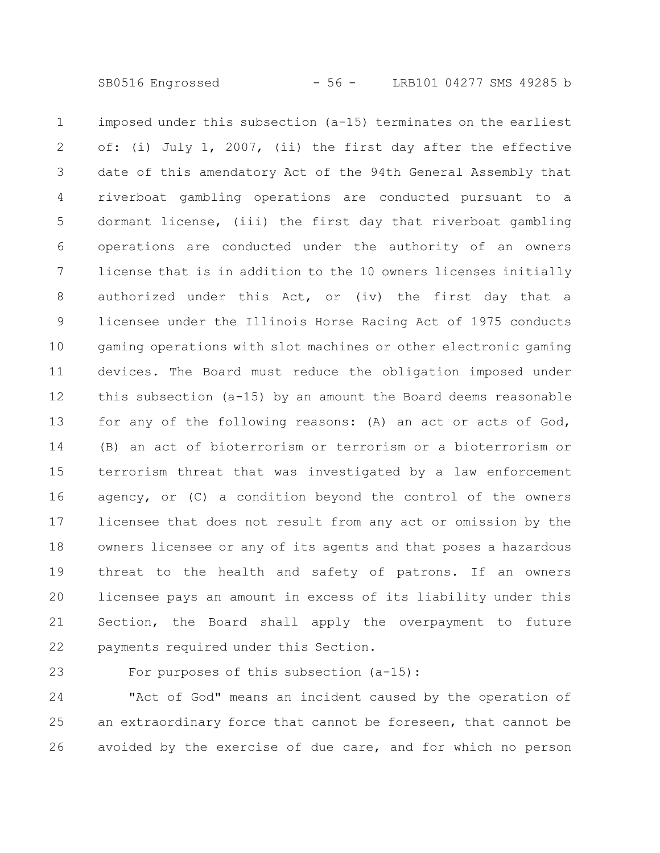imposed under this subsection (a-15) terminates on the earliest of: (i) July 1, 2007, (ii) the first day after the effective date of this amendatory Act of the 94th General Assembly that riverboat gambling operations are conducted pursuant to a dormant license, (iii) the first day that riverboat gambling operations are conducted under the authority of an owners license that is in addition to the 10 owners licenses initially authorized under this Act, or (iv) the first day that a licensee under the Illinois Horse Racing Act of 1975 conducts gaming operations with slot machines or other electronic gaming devices. The Board must reduce the obligation imposed under this subsection (a-15) by an amount the Board deems reasonable for any of the following reasons: (A) an act or acts of God, (B) an act of bioterrorism or terrorism or a bioterrorism or terrorism threat that was investigated by a law enforcement agency, or (C) a condition beyond the control of the owners licensee that does not result from any act or omission by the owners licensee or any of its agents and that poses a hazardous threat to the health and safety of patrons. If an owners licensee pays an amount in excess of its liability under this Section, the Board shall apply the overpayment to future payments required under this Section. 1 2 3 4 5 6 7 8 9 10 11 12 13 14 15 16 17 18 19 20 21 22

For purposes of this subsection (a-15): 23

"Act of God" means an incident caused by the operation of an extraordinary force that cannot be foreseen, that cannot be avoided by the exercise of due care, and for which no person 24 25 26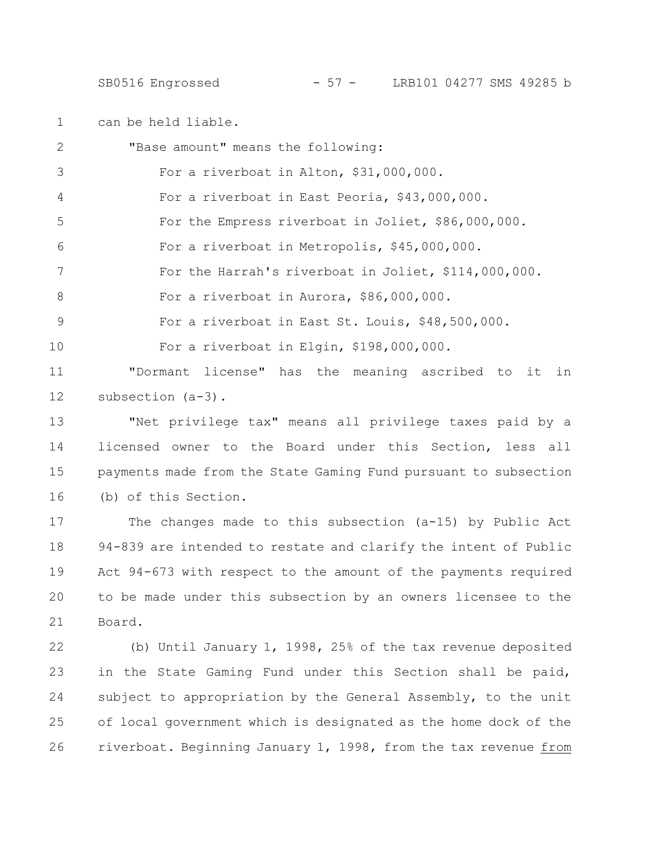SB0516 Engrossed - 57 - LRB101 04277 SMS 49285 b

can be held liable. 1

| $\overline{2}$ | "Base amount" means the following:                              |
|----------------|-----------------------------------------------------------------|
| 3              | For a riverboat in Alton, \$31,000,000.                         |
| 4              | For a riverboat in East Peoria, \$43,000,000.                   |
| 5              | For the Empress riverboat in Joliet, \$86,000,000.              |
| 6              | For a riverboat in Metropolis, \$45,000,000.                    |
| 7              | For the Harrah's riverboat in Joliet, \$114,000,000.            |
| 8              | For a riverboat in Aurora, \$86,000,000.                        |
| $\mathsf 9$    | For a riverboat in East St. Louis, \$48,500,000.                |
| 10             | For a riverboat in Elgin, \$198,000,000.                        |
| 11             | "Dormant license" has the meaning ascribed to<br>it<br>in       |
| 12             | subsection $(a-3)$ .                                            |
| 13             | "Net privilege tax" means all privilege taxes paid by a         |
| 14             | licensed owner to the Board under this Section, less all        |
| 15             | payments made from the State Gaming Fund pursuant to subsection |
| 16             | (b) of this Section.                                            |
| 17             | The changes made to this subsection (a-15) by Public Act        |
| 18             | 94-839 are intended to restate and clarify the intent of Public |
| 19             | Act 94-673 with respect to the amount of the payments required  |
| 20             | to be made under this subsection by an owners licensee to the   |
|                |                                                                 |

Board. 21

(b) Until January 1, 1998, 25% of the tax revenue deposited in the State Gaming Fund under this Section shall be paid, subject to appropriation by the General Assembly, to the unit of local government which is designated as the home dock of the riverboat. Beginning January 1, 1998, from the tax revenue from 22 23 24 25 26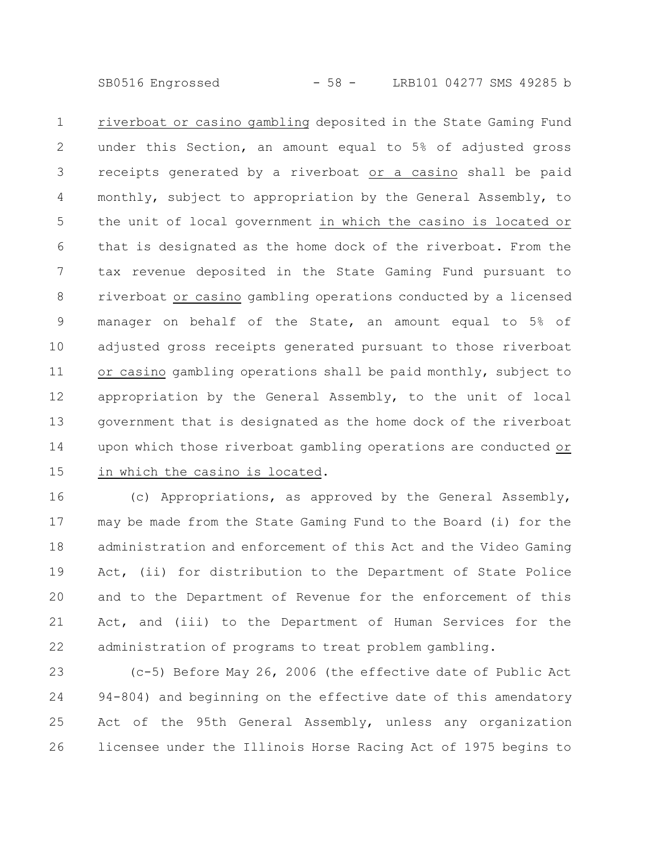SB0516 Engrossed - 58 - LRB101 04277 SMS 49285 b

riverboat or casino gambling deposited in the State Gaming Fund under this Section, an amount equal to 5% of adjusted gross receipts generated by a riverboat or a casino shall be paid monthly, subject to appropriation by the General Assembly, to the unit of local government in which the casino is located or that is designated as the home dock of the riverboat. From the tax revenue deposited in the State Gaming Fund pursuant to riverboat or casino gambling operations conducted by a licensed manager on behalf of the State, an amount equal to 5% of adjusted gross receipts generated pursuant to those riverboat or casino gambling operations shall be paid monthly, subject to appropriation by the General Assembly, to the unit of local government that is designated as the home dock of the riverboat upon which those riverboat gambling operations are conducted or in which the casino is located. 1 2 3 4 5 6 7 8 9 10 11 12 13 14 15

(c) Appropriations, as approved by the General Assembly, may be made from the State Gaming Fund to the Board (i) for the administration and enforcement of this Act and the Video Gaming Act, (ii) for distribution to the Department of State Police and to the Department of Revenue for the enforcement of this Act, and (iii) to the Department of Human Services for the administration of programs to treat problem gambling. 16 17 18 19 20 21 22

(c-5) Before May 26, 2006 (the effective date of Public Act 94-804) and beginning on the effective date of this amendatory Act of the 95th General Assembly, unless any organization licensee under the Illinois Horse Racing Act of 1975 begins to 23 24 25 26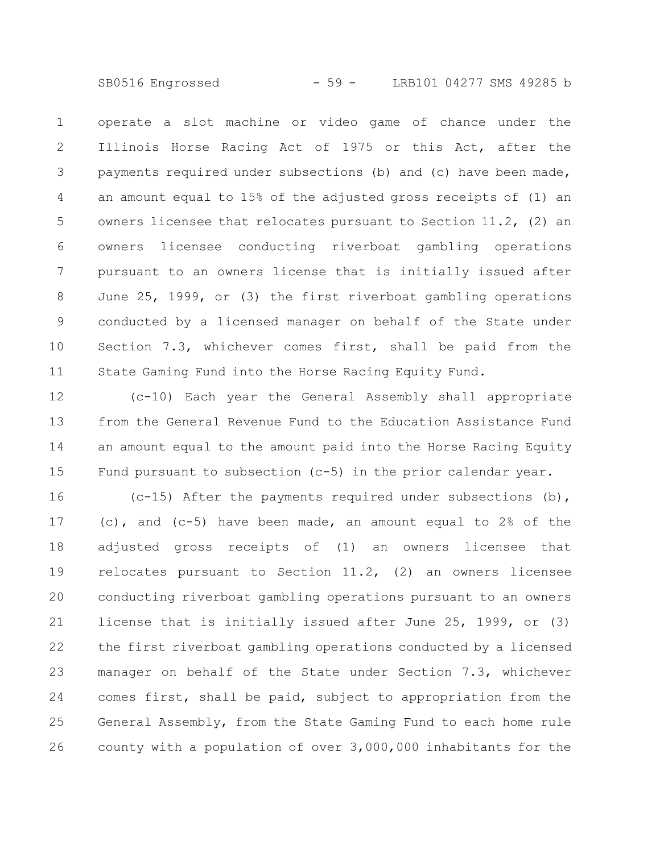SB0516 Engrossed - 59 - LRB101 04277 SMS 49285 b

operate a slot machine or video game of chance under the Illinois Horse Racing Act of 1975 or this Act, after the payments required under subsections (b) and (c) have been made, an amount equal to 15% of the adjusted gross receipts of (1) an owners licensee that relocates pursuant to Section 11.2, (2) an owners licensee conducting riverboat gambling operations pursuant to an owners license that is initially issued after June 25, 1999, or (3) the first riverboat gambling operations conducted by a licensed manager on behalf of the State under Section 7.3, whichever comes first, shall be paid from the State Gaming Fund into the Horse Racing Equity Fund. 1 2 3 4 5 6 7 8 9 10 11

(c-10) Each year the General Assembly shall appropriate from the General Revenue Fund to the Education Assistance Fund an amount equal to the amount paid into the Horse Racing Equity Fund pursuant to subsection (c-5) in the prior calendar year. 12 13 14 15

(c-15) After the payments required under subsections (b), (c), and (c-5) have been made, an amount equal to 2% of the adjusted gross receipts of (1) an owners licensee that relocates pursuant to Section 11.2, (2) an owners licensee conducting riverboat gambling operations pursuant to an owners license that is initially issued after June 25, 1999, or (3) the first riverboat gambling operations conducted by a licensed manager on behalf of the State under Section 7.3, whichever comes first, shall be paid, subject to appropriation from the General Assembly, from the State Gaming Fund to each home rule county with a population of over 3,000,000 inhabitants for the 16 17 18 19 20 21 22 23 24 25 26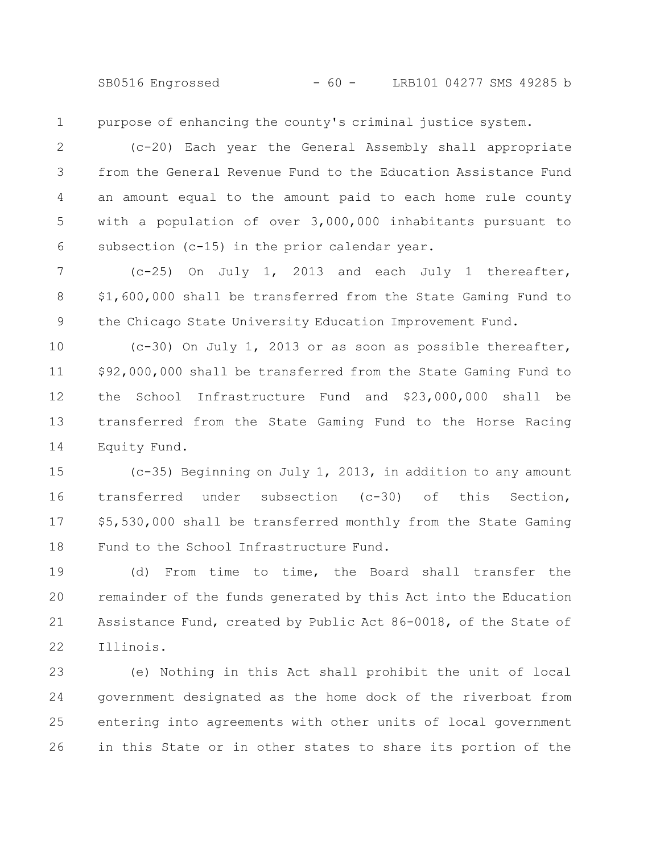SB0516 Engrossed - 60 - LRB101 04277 SMS 49285 b

purpose of enhancing the county's criminal justice system. 1

(c-20) Each year the General Assembly shall appropriate from the General Revenue Fund to the Education Assistance Fund an amount equal to the amount paid to each home rule county with a population of over 3,000,000 inhabitants pursuant to subsection (c-15) in the prior calendar year. 2 3 4 5 6

(c-25) On July 1, 2013 and each July 1 thereafter, \$1,600,000 shall be transferred from the State Gaming Fund to the Chicago State University Education Improvement Fund. 7 8 9

(c-30) On July 1, 2013 or as soon as possible thereafter, \$92,000,000 shall be transferred from the State Gaming Fund to the School Infrastructure Fund and \$23,000,000 shall be transferred from the State Gaming Fund to the Horse Racing Equity Fund. 10 11 12 13 14

(c-35) Beginning on July 1, 2013, in addition to any amount transferred under subsection (c-30) of this Section, \$5,530,000 shall be transferred monthly from the State Gaming Fund to the School Infrastructure Fund. 15 16 17 18

(d) From time to time, the Board shall transfer the remainder of the funds generated by this Act into the Education Assistance Fund, created by Public Act 86-0018, of the State of Illinois. 19 20 21 22

(e) Nothing in this Act shall prohibit the unit of local government designated as the home dock of the riverboat from entering into agreements with other units of local government in this State or in other states to share its portion of the 23 24 25 26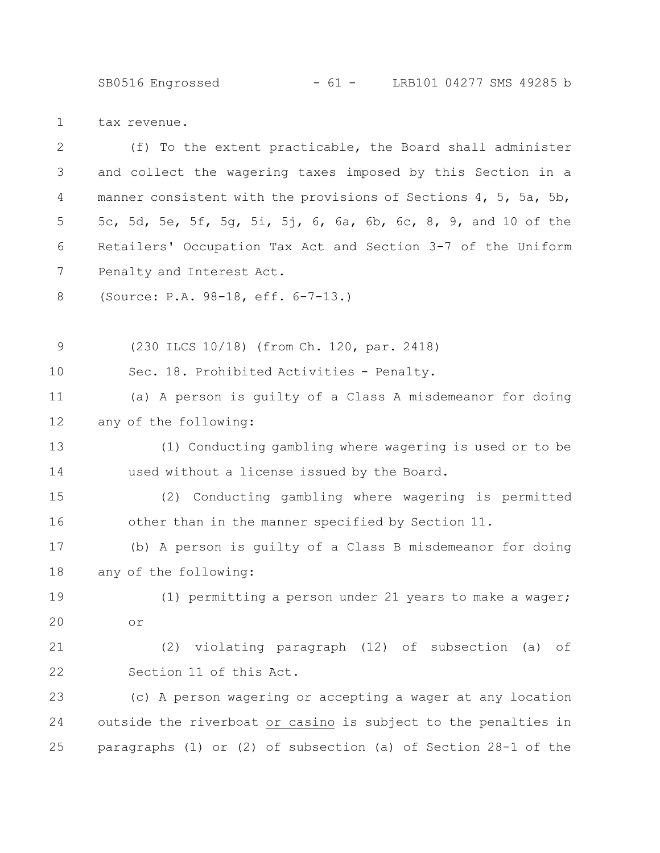SB0516 Engrossed - 61 - LRB101 04277 SMS 49285 b

tax revenue. 1

| $\mathbf{2}$ | (f) To the extent practicable, the Board shall administer       |  |  |
|--------------|-----------------------------------------------------------------|--|--|
| 3            | and collect the wagering taxes imposed by this Section in a     |  |  |
| 4            | manner consistent with the provisions of Sections 4, 5, 5a, 5b, |  |  |
| 5            | 5c, 5d, 5e, 5f, 5g, 5i, 5j, 6, 6a, 6b, 6c, 8, 9, and 10 of the  |  |  |
| 6            | Retailers' Occupation Tax Act and Section 3-7 of the Uniform    |  |  |
| 7            | Penalty and Interest Act.                                       |  |  |
| 8            | (Source: P.A. 98-18, eff. 6-7-13.)                              |  |  |
| $\mathsf 9$  | (230 ILCS 10/18) (from Ch. 120, par. 2418)                      |  |  |
| 10           | Sec. 18. Prohibited Activities - Penalty.                       |  |  |
| 11           | (a) A person is guilty of a Class A misdemeanor for doing       |  |  |
| 12           | any of the following:                                           |  |  |
| 13           | (1) Conducting gambling where wagering is used or to be         |  |  |
| 14           | used without a license issued by the Board.                     |  |  |
| 15           | (2) Conducting gambling where wagering is permitted             |  |  |
| 16           | other than in the manner specified by Section 11.               |  |  |
| 17           | (b) A person is guilty of a Class B misdemeanor for doing       |  |  |
| 18           | any of the following:                                           |  |  |
| 19           | (1) permitting a person under 21 years to make a wager;         |  |  |
| 20           | or.                                                             |  |  |
| 21           | (2) violating paragraph (12) of subsection (a) of               |  |  |
| 22           | Section 11 of this Act.                                         |  |  |
| 23           | (c) A person wagering or accepting a wager at any location      |  |  |
| 24           | outside the riverboat or casino is subject to the penalties in  |  |  |
| 25           | paragraphs (1) or (2) of subsection (a) of Section 28-1 of the  |  |  |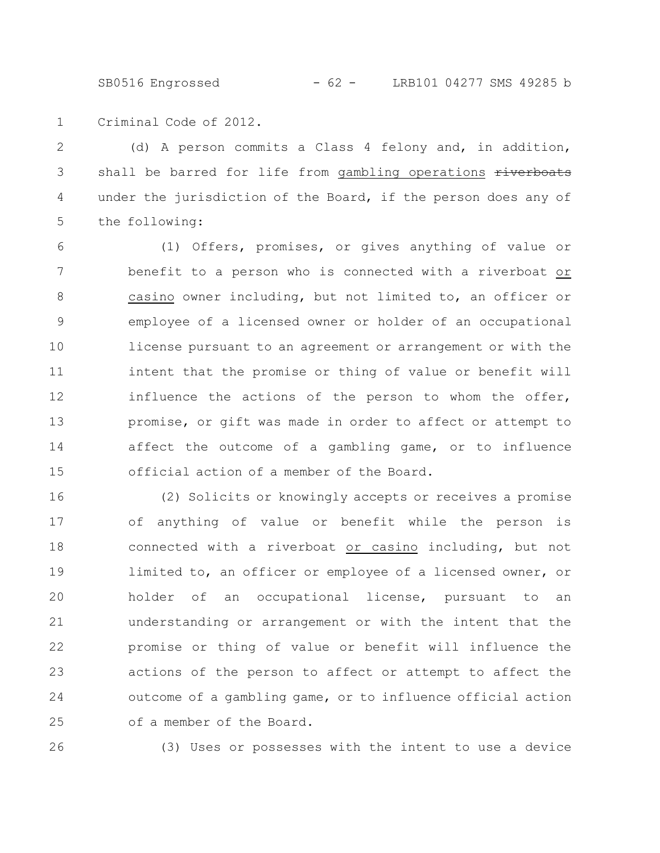SB0516 Engrossed - 62 - LRB101 04277 SMS 49285 b

Criminal Code of 2012. 1

(d) A person commits a Class 4 felony and, in addition, shall be barred for life from gambling operations riverboats under the jurisdiction of the Board, if the person does any of the following: 2 3 4 5

(1) Offers, promises, or gives anything of value or benefit to a person who is connected with a riverboat or casino owner including, but not limited to, an officer or employee of a licensed owner or holder of an occupational license pursuant to an agreement or arrangement or with the intent that the promise or thing of value or benefit will influence the actions of the person to whom the offer, promise, or gift was made in order to affect or attempt to affect the outcome of a gambling game, or to influence official action of a member of the Board. 6 7 8 9 10 11 12 13 14 15

(2) Solicits or knowingly accepts or receives a promise of anything of value or benefit while the person is connected with a riverboat or casino including, but not limited to, an officer or employee of a licensed owner, or holder of an occupational license, pursuant to an understanding or arrangement or with the intent that the promise or thing of value or benefit will influence the actions of the person to affect or attempt to affect the outcome of a gambling game, or to influence official action of a member of the Board. 16 17 18 19 20 21 22 23 24 25

26

(3) Uses or possesses with the intent to use a device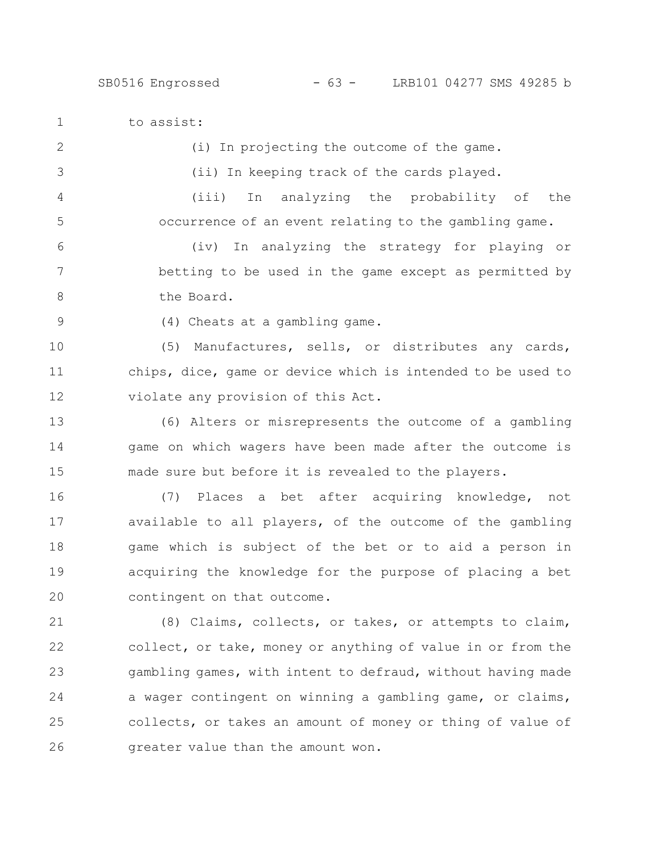to assist: 1

2

(i) In projecting the outcome of the game.

3

4

5

(ii) In keeping track of the cards played.

(iii) In analyzing the probability of the occurrence of an event relating to the gambling game.

(iv) In analyzing the strategy for playing or betting to be used in the game except as permitted by the Board. 6 7 8

9

(4) Cheats at a gambling game.

(5) Manufactures, sells, or distributes any cards, chips, dice, game or device which is intended to be used to violate any provision of this Act. 10 11 12

(6) Alters or misrepresents the outcome of a gambling game on which wagers have been made after the outcome is made sure but before it is revealed to the players. 13 14 15

(7) Places a bet after acquiring knowledge, not available to all players, of the outcome of the gambling game which is subject of the bet or to aid a person in acquiring the knowledge for the purpose of placing a bet contingent on that outcome. 16 17 18 19 20

(8) Claims, collects, or takes, or attempts to claim, collect, or take, money or anything of value in or from the gambling games, with intent to defraud, without having made a wager contingent on winning a gambling game, or claims, collects, or takes an amount of money or thing of value of greater value than the amount won. 21 22 23 24 25 26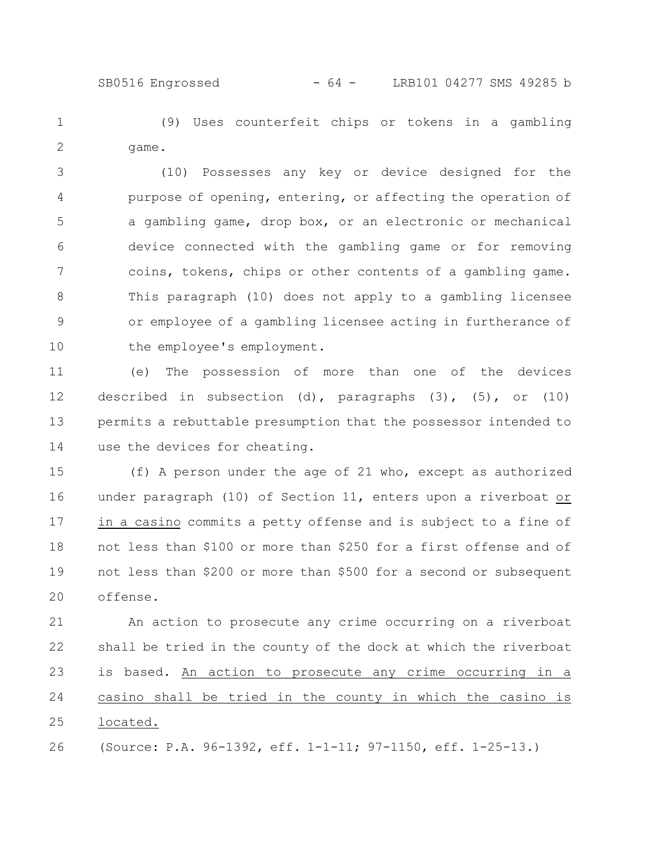(9) Uses counterfeit chips or tokens in a gambling game. 1 2

(10) Possesses any key or device designed for the purpose of opening, entering, or affecting the operation of a gambling game, drop box, or an electronic or mechanical device connected with the gambling game or for removing coins, tokens, chips or other contents of a gambling game. This paragraph (10) does not apply to a gambling licensee or employee of a gambling licensee acting in furtherance of the employee's employment. 3 4 5 6 7 8 9 10

(e) The possession of more than one of the devices described in subsection (d), paragraphs  $(3)$ ,  $(5)$ , or  $(10)$ permits a rebuttable presumption that the possessor intended to use the devices for cheating. 11 12 13 14

(f) A person under the age of 21 who, except as authorized under paragraph (10) of Section 11, enters upon a riverboat or in a casino commits a petty offense and is subject to a fine of not less than \$100 or more than \$250 for a first offense and of not less than \$200 or more than \$500 for a second or subsequent offense. 15 16 17 18 19 20

An action to prosecute any crime occurring on a riverboat shall be tried in the county of the dock at which the riverboat is based. An action to prosecute any crime occurring in a casino shall be tried in the county in which the casino is located. 21 22 23 24 25

(Source: P.A. 96-1392, eff. 1-1-11; 97-1150, eff. 1-25-13.) 26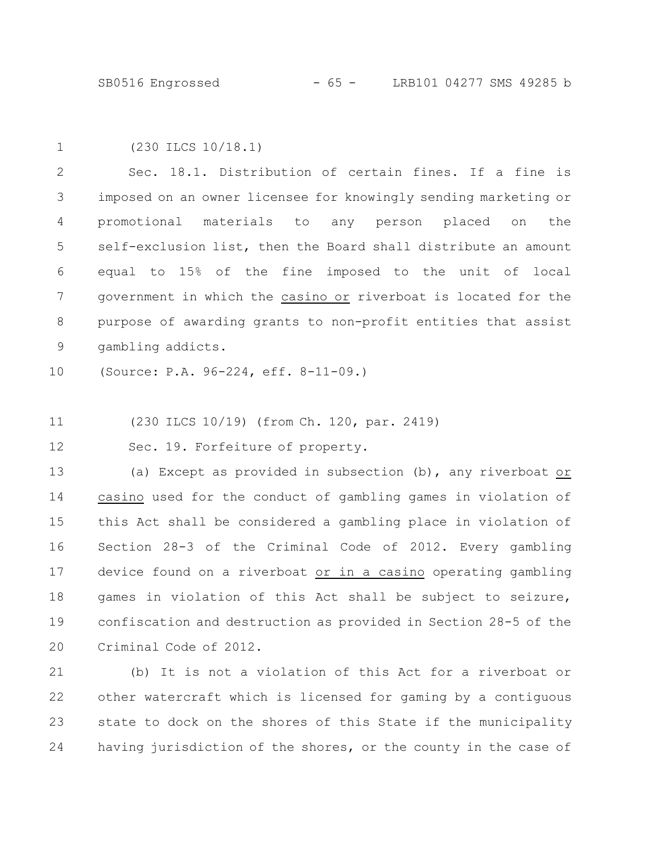SB0516 Engrossed - 65 - LRB101 04277 SMS 49285 b

| ۰, |
|----|
|    |
|    |

(230 ILCS 10/18.1)

Sec. 18.1. Distribution of certain fines. If a fine is imposed on an owner licensee for knowingly sending marketing or promotional materials to any person placed on the self-exclusion list, then the Board shall distribute an amount equal to 15% of the fine imposed to the unit of local government in which the casino or riverboat is located for the purpose of awarding grants to non-profit entities that assist gambling addicts. 2 3 4 5 6 7 8 9

(Source: P.A. 96-224, eff. 8-11-09.) 10

(230 ILCS 10/19) (from Ch. 120, par. 2419) 11

Sec. 19. Forfeiture of property. 12

(a) Except as provided in subsection (b), any riverboat or casino used for the conduct of gambling games in violation of this Act shall be considered a gambling place in violation of Section 28-3 of the Criminal Code of 2012. Every gambling device found on a riverboat or in a casino operating gambling games in violation of this Act shall be subject to seizure, confiscation and destruction as provided in Section 28-5 of the Criminal Code of 2012. 13 14 15 16 17 18 19 20

(b) It is not a violation of this Act for a riverboat or other watercraft which is licensed for gaming by a contiguous state to dock on the shores of this State if the municipality having jurisdiction of the shores, or the county in the case of 21 22 23 24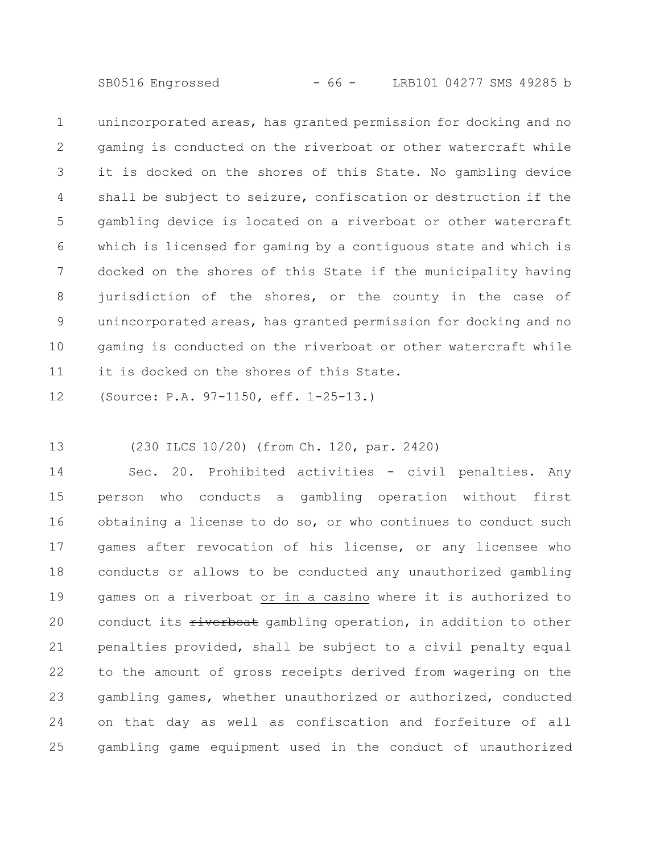SB0516 Engrossed - 66 - LRB101 04277 SMS 49285 b

unincorporated areas, has granted permission for docking and no gaming is conducted on the riverboat or other watercraft while it is docked on the shores of this State. No gambling device shall be subject to seizure, confiscation or destruction if the gambling device is located on a riverboat or other watercraft which is licensed for gaming by a contiguous state and which is docked on the shores of this State if the municipality having jurisdiction of the shores, or the county in the case of unincorporated areas, has granted permission for docking and no gaming is conducted on the riverboat or other watercraft while it is docked on the shores of this State. 1 2 3 4 5 6 7 8 9 10 11

(Source: P.A. 97-1150, eff. 1-25-13.) 12

(230 ILCS 10/20) (from Ch. 120, par. 2420) 13

Sec. 20. Prohibited activities - civil penalties. Any person who conducts a gambling operation without first obtaining a license to do so, or who continues to conduct such games after revocation of his license, or any licensee who conducts or allows to be conducted any unauthorized gambling games on a riverboat or in a casino where it is authorized to conduct its riverboat gambling operation, in addition to other penalties provided, shall be subject to a civil penalty equal to the amount of gross receipts derived from wagering on the gambling games, whether unauthorized or authorized, conducted on that day as well as confiscation and forfeiture of all gambling game equipment used in the conduct of unauthorized 14 15 16 17 18 19 20 21 22 23 24 25